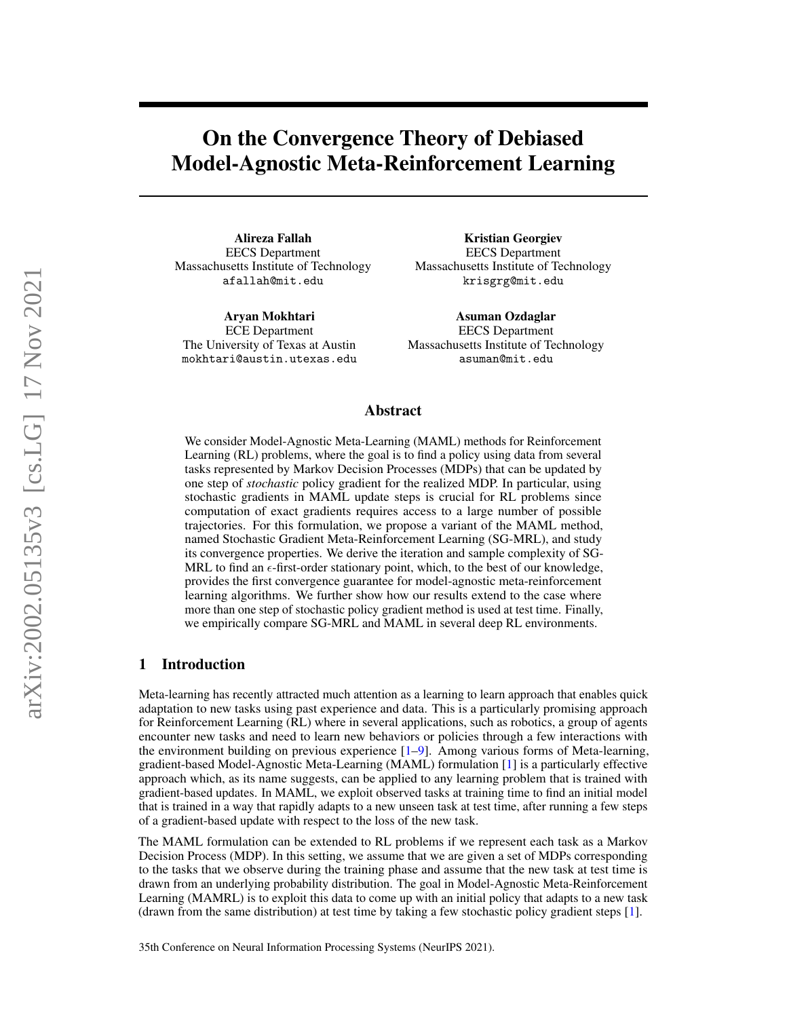# On the Convergence Theory of Debiased Model-Agnostic Meta-Reinforcement Learning

Alireza Fallah EECS Department Massachusetts Institute of Technology afallah@mit.edu

Aryan Mokhtari ECE Department The University of Texas at Austin mokhtari@austin.utexas.edu

Kristian Georgiev EECS Department Massachusetts Institute of Technology krisgrg@mit.edu

Asuman Ozdaglar EECS Department Massachusetts Institute of Technology asuman@mit.edu

## Abstract

We consider Model-Agnostic Meta-Learning (MAML) methods for Reinforcement Learning (RL) problems, where the goal is to find a policy using data from several tasks represented by Markov Decision Processes (MDPs) that can be updated by one step of *stochastic* policy gradient for the realized MDP. In particular, using stochastic gradients in MAML update steps is crucial for RL problems since computation of exact gradients requires access to a large number of possible trajectories. For this formulation, we propose a variant of the MAML method, named Stochastic Gradient Meta-Reinforcement Learning (SG-MRL), and study its convergence properties. We derive the iteration and sample complexity of SG-MRL to find an  $\epsilon$ -first-order stationary point, which, to the best of our knowledge, provides the first convergence guarantee for model-agnostic meta-reinforcement learning algorithms. We further show how our results extend to the case where more than one step of stochastic policy gradient method is used at test time. Finally, we empirically compare SG-MRL and MAML in several deep RL environments.

# 1 Introduction

Meta-learning has recently attracted much attention as a learning to learn approach that enables quick adaptation to new tasks using past experience and data. This is a particularly promising approach for Reinforcement Learning (RL) where in several applications, such as robotics, a group of agents encounter new tasks and need to learn new behaviors or policies through a few interactions with the environment building on previous experience [\[1](#page-9-0)[–9\]](#page-9-1). Among various forms of Meta-learning, gradient-based Model-Agnostic Meta-Learning (MAML) formulation [\[1\]](#page-9-0) is a particularly effective approach which, as its name suggests, can be applied to any learning problem that is trained with gradient-based updates. In MAML, we exploit observed tasks at training time to find an initial model that is trained in a way that rapidly adapts to a new unseen task at test time, after running a few steps of a gradient-based update with respect to the loss of the new task.

The MAML formulation can be extended to RL problems if we represent each task as a Markov Decision Process (MDP). In this setting, we assume that we are given a set of MDPs corresponding to the tasks that we observe during the training phase and assume that the new task at test time is drawn from an underlying probability distribution. The goal in Model-Agnostic Meta-Reinforcement Learning (MAMRL) is to exploit this data to come up with an initial policy that adapts to a new task (drawn from the same distribution) at test time by taking a few stochastic policy gradient steps [\[1\]](#page-9-0).

35th Conference on Neural Information Processing Systems (NeurIPS 2021).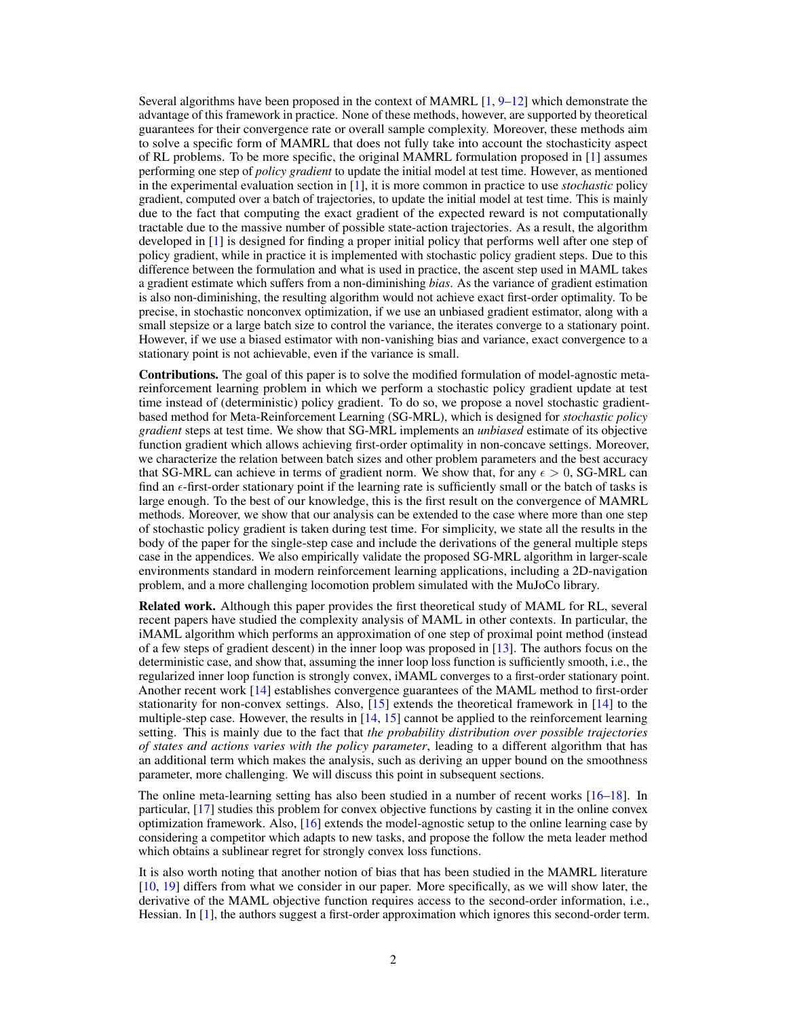Several algorithms have been proposed in the context of MAMRL [\[1,](#page-9-0) [9–](#page-9-1)[12\]](#page-10-0) which demonstrate the advantage of this framework in practice. None of these methods, however, are supported by theoretical guarantees for their convergence rate or overall sample complexity. Moreover, these methods aim to solve a specific form of MAMRL that does not fully take into account the stochasticity aspect of RL problems. To be more specific, the original MAMRL formulation proposed in [\[1\]](#page-9-0) assumes performing one step of *policy gradient* to update the initial model at test time. However, as mentioned in the experimental evaluation section in [\[1\]](#page-9-0), it is more common in practice to use *stochastic* policy gradient, computed over a batch of trajectories, to update the initial model at test time. This is mainly due to the fact that computing the exact gradient of the expected reward is not computationally tractable due to the massive number of possible state-action trajectories. As a result, the algorithm developed in [\[1\]](#page-9-0) is designed for finding a proper initial policy that performs well after one step of policy gradient, while in practice it is implemented with stochastic policy gradient steps. Due to this difference between the formulation and what is used in practice, the ascent step used in MAML takes a gradient estimate which suffers from a non-diminishing *bias*. As the variance of gradient estimation is also non-diminishing, the resulting algorithm would not achieve exact first-order optimality. To be precise, in stochastic nonconvex optimization, if we use an unbiased gradient estimator, along with a small stepsize or a large batch size to control the variance, the iterates converge to a stationary point. However, if we use a biased estimator with non-vanishing bias and variance, exact convergence to a stationary point is not achievable, even if the variance is small.

Contributions. The goal of this paper is to solve the modified formulation of model-agnostic metareinforcement learning problem in which we perform a stochastic policy gradient update at test time instead of (deterministic) policy gradient. To do so, we propose a novel stochastic gradientbased method for Meta-Reinforcement Learning (SG-MRL), which is designed for *stochastic policy gradient* steps at test time. We show that SG-MRL implements an *unbiased* estimate of its objective function gradient which allows achieving first-order optimality in non-concave settings. Moreover, we characterize the relation between batch sizes and other problem parameters and the best accuracy that SG-MRL can achieve in terms of gradient norm. We show that, for any  $\epsilon > 0$ , SG-MRL can find an  $\epsilon$ -first-order stationary point if the learning rate is sufficiently small or the batch of tasks is large enough. To the best of our knowledge, this is the first result on the convergence of MAMRL methods. Moreover, we show that our analysis can be extended to the case where more than one step of stochastic policy gradient is taken during test time. For simplicity, we state all the results in the body of the paper for the single-step case and include the derivations of the general multiple steps case in the appendices. We also empirically validate the proposed SG-MRL algorithm in larger-scale environments standard in modern reinforcement learning applications, including a 2D-navigation problem, and a more challenging locomotion problem simulated with the MuJoCo library.

Related work. Although this paper provides the first theoretical study of MAML for RL, several recent papers have studied the complexity analysis of MAML in other contexts. In particular, the iMAML algorithm which performs an approximation of one step of proximal point method (instead of a few steps of gradient descent) in the inner loop was proposed in  $[13]$ . The authors focus on the deterministic case, and show that, assuming the inner loop loss function is sufficiently smooth, i.e., the regularized inner loop function is strongly convex, iMAML converges to a first-order stationary point. Another recent work [\[14\]](#page-10-2) establishes convergence guarantees of the MAML method to first-order stationarity for non-convex settings. Also, [\[15\]](#page-10-3) extends the theoretical framework in [\[14\]](#page-10-2) to the multiple-step case. However, the results in [\[14,](#page-10-2) [15\]](#page-10-3) cannot be applied to the reinforcement learning setting. This is mainly due to the fact that *the probability distribution over possible trajectories of states and actions varies with the policy parameter*, leading to a different algorithm that has an additional term which makes the analysis, such as deriving an upper bound on the smoothness parameter, more challenging. We will discuss this point in subsequent sections.

The online meta-learning setting has also been studied in a number of recent works [\[16–](#page-10-4)[18\]](#page-10-5). In particular, [\[17\]](#page-10-6) studies this problem for convex objective functions by casting it in the online convex optimization framework. Also, [\[16\]](#page-10-4) extends the model-agnostic setup to the online learning case by considering a competitor which adapts to new tasks, and propose the follow the meta leader method which obtains a sublinear regret for strongly convex loss functions.

It is also worth noting that another notion of bias that has been studied in the MAMRL literature [\[10,](#page-9-2) [19\]](#page-10-7) differs from what we consider in our paper. More specifically, as we will show later, the derivative of the MAML objective function requires access to the second-order information, i.e., Hessian. In [\[1\]](#page-9-0), the authors suggest a first-order approximation which ignores this second-order term.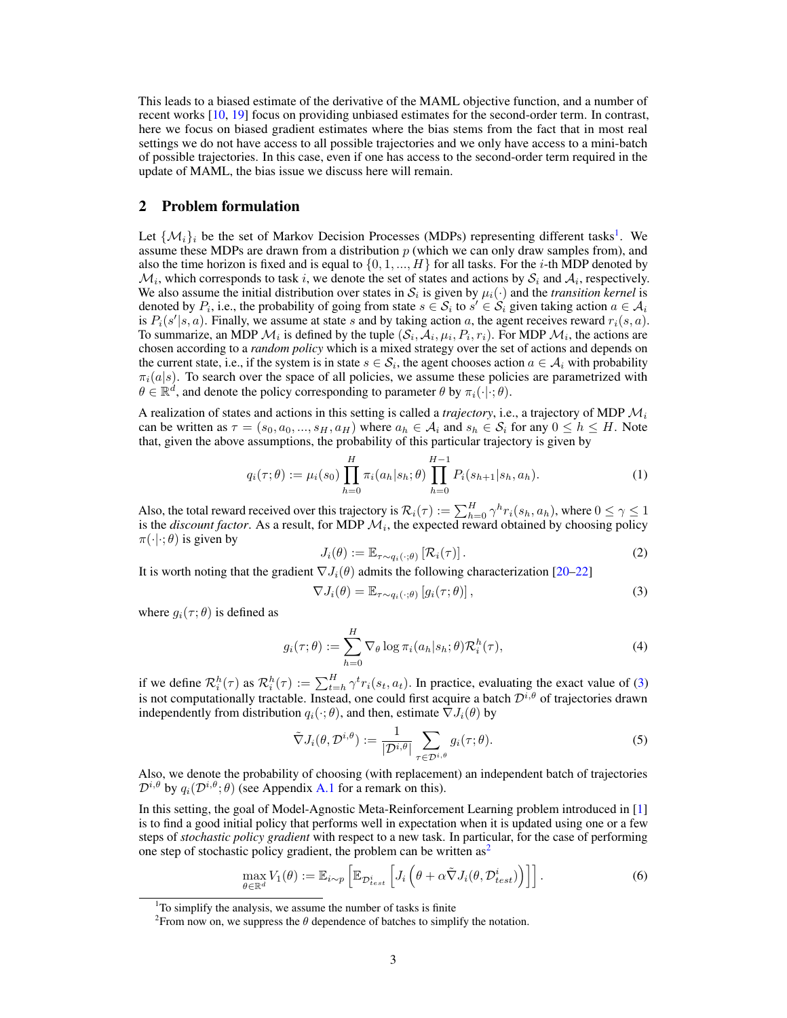This leads to a biased estimate of the derivative of the MAML objective function, and a number of recent works [\[10,](#page-9-2) [19\]](#page-10-7) focus on providing unbiased estimates for the second-order term. In contrast, here we focus on biased gradient estimates where the bias stems from the fact that in most real settings we do not have access to all possible trajectories and we only have access to a mini-batch of possible trajectories. In this case, even if one has access to the second-order term required in the update of MAML, the bias issue we discuss here will remain.

## <span id="page-2-7"></span>2 Problem formulation

Let  $\{\mathcal{M}_i\}_i$  be the set of Markov Decision Processes (MDPs) representing different tasks<sup>[1](#page-2-0)</sup>. We assume these MDPs are drawn from a distribution  $p$  (which we can only draw samples from), and also the time horizon is fixed and is equal to  $\{0, 1, ..., H\}$  for all tasks. For the *i*-th MDP denoted by  $\mathcal{M}_i$ , which corresponds to task i, we denote the set of states and actions by  $\mathcal{S}_i$  and  $\mathcal{A}_i$ , respectively. We also assume the initial distribution over states in  $S_i$  is given by  $\mu_i(\cdot)$  and the *transition kernel* is denoted by  $P_i$ , i.e., the probability of going from state  $s \in S_i$  to  $s' \in S_i$  given taking action  $a \in A_i$ is  $P_i(s'|s, a)$ . Finally, we assume at state s and by taking action a, the agent receives reward  $r_i(s, a)$ . To summarize, an MDP  $\mathcal{M}_i$  is defined by the tuple  $(\mathcal{S}_i, \mathcal{A}_i, \mu_i, P_i, r_i)$ . For MDP  $\mathcal{M}_i$ , the actions are chosen according to a *random policy* which is a mixed strategy over the set of actions and depends on the current state, i.e., if the system is in state  $s \in S_i$ , the agent chooses action  $a \in A_i$  with probability  $\pi_i(a|s)$ . To search over the space of all policies, we assume these policies are parametrized with  $\theta \in \mathbb{R}^d$ , and denote the policy corresponding to parameter  $\theta$  by  $\pi_i(\cdot|\cdot;\theta)$ .

A realization of states and actions in this setting is called a *trajectory*, i.e., a trajectory of MDP  $\mathcal{M}_i$ can be written as  $\tau = (s_0, a_0, ..., s_H, a_H)$  where  $a_h \in A_i$  and  $s_h \in S_i$  for any  $0 \le h \le H$ . Note that, given the above assumptions, the probability of this particular trajectory is given by

<span id="page-2-5"></span>
$$
q_i(\tau; \theta) := \mu_i(s_0) \prod_{h=0}^H \pi_i(a_h|s_h; \theta) \prod_{h=0}^{H-1} P_i(s_{h+1}|s_h, a_h).
$$
 (1)

Also, the total reward received over this trajectory is  $\mathcal{R}_i(\tau) := \sum_{h=0}^H \gamma^h r_i(s_h, a_h)$ , where  $0 \le \gamma \le 1$ is the *discount factor*. As a result, for MDP  $M_i$ , the expected reward obtained by choosing policy  $\pi(\cdot|\cdot;\theta)$  is given by

<span id="page-2-8"></span><span id="page-2-1"></span>
$$
J_i(\theta) := \mathbb{E}_{\tau \sim q_i(\cdot;\theta)} \left[ \mathcal{R}_i(\tau) \right]. \tag{2}
$$

It is worth noting that the gradient  $\nabla J_i(\theta)$  admits the following characterization [\[20–](#page-10-8)[22\]](#page-10-9)

$$
\nabla J_i(\theta) = \mathbb{E}_{\tau \sim q_i(\cdot;\theta)} \left[ g_i(\tau;\theta) \right],\tag{3}
$$

where  $g_i(\tau; \theta)$  is defined as

<span id="page-2-4"></span>
$$
g_i(\tau;\theta) := \sum_{h=0}^{H} \nabla_{\theta} \log \pi_i(a_h|s_h;\theta) \mathcal{R}_i^h(\tau), \tag{4}
$$

if we define  $\mathcal{R}_i^h(\tau)$  as  $\mathcal{R}_i^h(\tau) := \sum_{t=h}^H \gamma^t r_i(s_t, a_t)$ . In practice, evaluating the exact value of [\(3\)](#page-2-1) is not computationally tractable. Instead, one could first acquire a batch  $\mathcal{D}^{\tilde{i},\theta}$  of trajectories drawn independently from distribution  $q_i(\cdot; \theta)$ , and then, estimate  $\nabla J_i(\theta)$  by

<span id="page-2-6"></span><span id="page-2-3"></span>
$$
\tilde{\nabla} J_i(\theta, \mathcal{D}^{i,\theta}) := \frac{1}{|\mathcal{D}^{i,\theta}|} \sum_{\tau \in \mathcal{D}^{i,\theta}} g_i(\tau; \theta). \tag{5}
$$

Also, we denote the probability of choosing (with replacement) an independent batch of trajectories  $\mathcal{D}^{i,\theta}$  by  $q_i(\mathcal{D}^{i,\theta};\theta)$  (see Appendix [A.1](#page-12-0) for a remark on this).

In this setting, the goal of Model-Agnostic Meta-Reinforcement Learning problem introduced in [\[1\]](#page-9-0) is to find a good initial policy that performs well in expectation when it is updated using one or a few steps of *stochastic policy gradient* with respect to a new task. In particular, for the case of performing one step of stochastic policy gradient, the problem can be written  $as<sup>2</sup>$  $as<sup>2</sup>$  $as<sup>2</sup>$ 

$$
\max_{\theta \in \mathbb{R}^d} V_1(\theta) := \mathbb{E}_{i \sim p} \left[ \mathbb{E}_{\mathcal{D}_{test}^i} \left[ J_i \left( \theta + \alpha \tilde{\nabla} J_i(\theta, \mathcal{D}_{test}^i) \right) \right] \right]. \tag{6}
$$

<span id="page-2-0"></span><sup>&</sup>lt;sup>1</sup>To simplify the analysis, we assume the number of tasks is finite

<span id="page-2-2"></span><sup>&</sup>lt;sup>2</sup> From now on, we suppress the  $\theta$  dependence of batches to simplify the notation.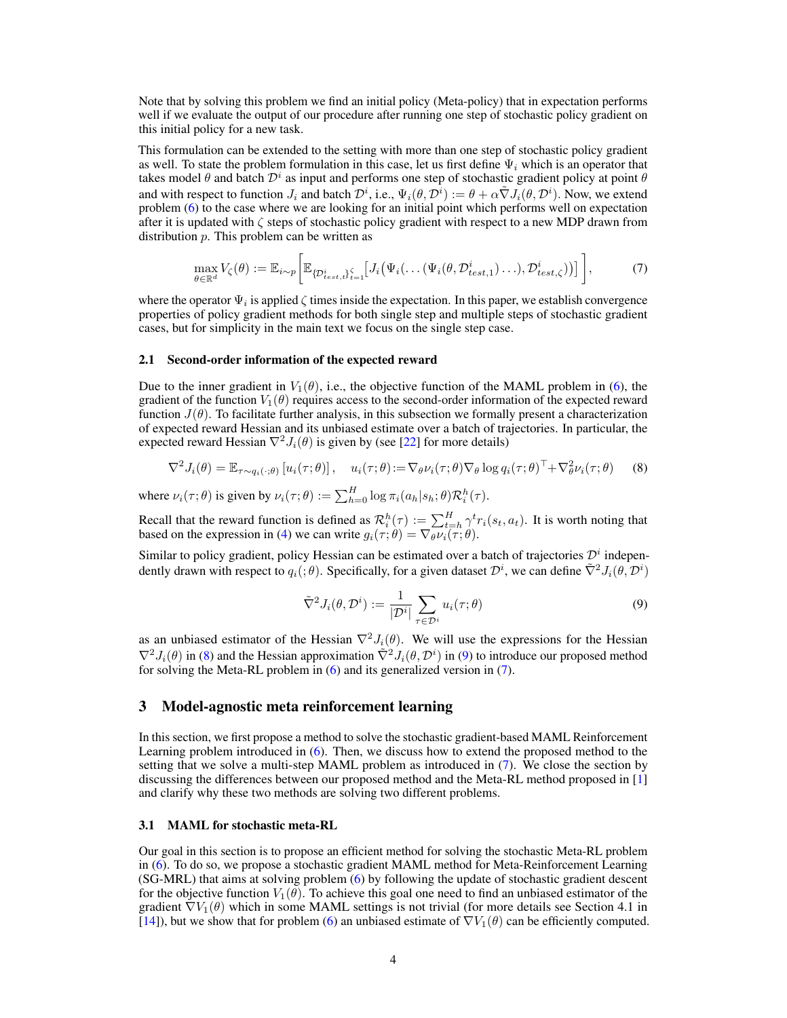Note that by solving this problem we find an initial policy (Meta-policy) that in expectation performs well if we evaluate the output of our procedure after running one step of stochastic policy gradient on this initial policy for a new task.

This formulation can be extended to the setting with more than one step of stochastic policy gradient as well. To state the problem formulation in this case, let us first define  $\Psi_i$  which is an operator that takes model  $\theta$  and batch  $\mathcal{D}^i$  as input and performs one step of stochastic gradient policy at point  $\theta$ and with respect to function  $J_i$  and batch  $\mathcal{D}^i$ , i.e.,  $\Psi_i(\theta, \mathcal{D}^i) := \theta + \alpha \tilde{\nabla} J_i(\theta, \mathcal{D}^i)$ . Now, we extend problem [\(6\)](#page-2-3) to the case where we are looking for an initial point which performs well on expectation after it is updated with  $\zeta$  steps of stochastic policy gradient with respect to a new MDP drawn from distribution p. This problem can be written as

<span id="page-3-2"></span>
$$
\max_{\theta \in \mathbb{R}^d} V_{\zeta}(\theta) := \mathbb{E}_{i \sim p} \bigg[ \mathbb{E}_{\{\mathcal{D}_{test,\iota}^i\}_{i=1}^{\zeta}} \big[ J_i \big( \Psi_i(\dots(\Psi_i(\theta, \mathcal{D}_{test,1}^i) \dots), \mathcal{D}_{test,\zeta}^i) \big) \big] \bigg],\tag{7}
$$

where the operator  $\Psi_i$  is applied  $\zeta$  times inside the expectation. In this paper, we establish convergence properties of policy gradient methods for both single step and multiple steps of stochastic gradient cases, but for simplicity in the main text we focus on the single step case.

# 2.1 Second-order information of the expected reward

Due to the inner gradient in  $V_1(\theta)$ , i.e., the objective function of the MAML problem in [\(6\)](#page-2-3), the gradient of the function  $V_1(\theta)$  requires access to the second-order information of the expected reward function  $J(\theta)$ . To facilitate further analysis, in this subsection we formally present a characterization of expected reward Hessian and its unbiased estimate over a batch of trajectories. In particular, the expected reward Hessian  $\nabla^2 J_i(\theta)$  is given by (see [\[22\]](#page-10-9) for more details)

$$
\nabla^2 J_i(\theta) = \mathbb{E}_{\tau \sim q_i(\cdot; \theta)} \left[ u_i(\tau; \theta) \right], \quad u_i(\tau; \theta) := \nabla_{\theta} \nu_i(\tau; \theta) \nabla_{\theta} \log q_i(\tau; \theta)^\top + \nabla_{\theta}^2 \nu_i(\tau; \theta) \tag{8}
$$

where  $\nu_i(\tau;\theta)$  is given by  $\nu_i(\tau;\theta) := \sum_{h=0}^H \log \pi_i(a_h|s_h;\theta) \mathcal{R}_i^h(\tau)$ .

Recall that the reward function is defined as  $\mathcal{R}_i^h(\tau) := \sum_{t=h}^H \gamma^t r_i(s_t, a_t)$ . It is worth noting that based on the expression in [\(4\)](#page-2-4) we can write  $g_i(\tau; \theta) = \nabla_{\theta} \nu_i(\tau; \theta)$ .

<span id="page-3-1"></span>Similar to policy gradient, policy Hessian can be estimated over a batch of trajectories  $\mathcal{D}^i$  independently drawn with respect to  $q_i(j\theta)$ . Specifically, for a given dataset  $\mathcal{D}^i$ , we can define  $\tilde{\nabla}^2 J_i(\theta, \mathcal{D}^i)$ 

<span id="page-3-0"></span>
$$
\tilde{\nabla}^2 J_i(\theta, \mathcal{D}^i) := \frac{1}{|\mathcal{D}^i|} \sum_{\tau \in \mathcal{D}^i} u_i(\tau; \theta)
$$
\n(9)

as an unbiased estimator of the Hessian  $\nabla^2 J_i(\theta)$ . We will use the expressions for the Hessian  $\nabla^2 J_i(\theta)$  in [\(8\)](#page-3-0) and the Hessian approximation  $\tilde{\nabla}^2 J_i(\theta, \mathcal{D}^i)$  in [\(9\)](#page-3-1) to introduce our proposed method for solving the Meta-RL problem in [\(6\)](#page-2-3) and its generalized version in [\(7\)](#page-3-2).

# 3 Model-agnostic meta reinforcement learning

In this section, we first propose a method to solve the stochastic gradient-based MAML Reinforcement Learning problem introduced in [\(6\)](#page-2-3). Then, we discuss how to extend the proposed method to the setting that we solve a multi-step MAML problem as introduced in [\(7\)](#page-3-2). We close the section by discussing the differences between our proposed method and the Meta-RL method proposed in [\[1\]](#page-9-0) and clarify why these two methods are solving two different problems.

#### 3.1 MAML for stochastic meta-RL

Our goal in this section is to propose an efficient method for solving the stochastic Meta-RL problem in [\(6\)](#page-2-3). To do so, we propose a stochastic gradient MAML method for Meta-Reinforcement Learning (SG-MRL) that aims at solving problem [\(6\)](#page-2-3) by following the update of stochastic gradient descent for the objective function  $V_1(\theta)$ . To achieve this goal one need to find an unbiased estimator of the gradient  $\nabla V_1(\theta)$  which in some MAML settings is not trivial (for more details see Section 4.1 in [\[14\]](#page-10-2)), but we show that for problem [\(6\)](#page-2-3) an unbiased estimate of  $\nabla V_1(\theta)$  can be efficiently computed.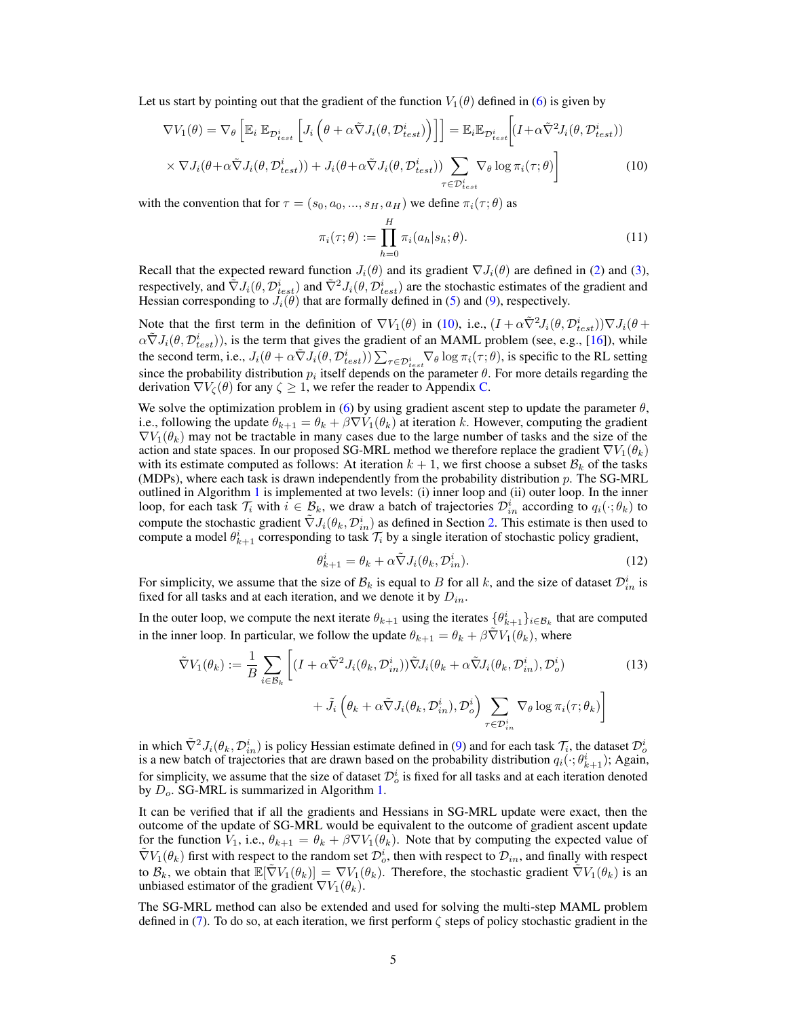Let us start by pointing out that the gradient of the function  $V_1(\theta)$  defined in [\(6\)](#page-2-3) is given by

$$
\nabla V_1(\theta) = \nabla_{\theta} \left[ \mathbb{E}_i \, \mathbb{E}_{\mathcal{D}_{test}^i} \left[ J_i \left( \theta + \alpha \tilde{\nabla} J_i(\theta, \mathcal{D}_{test}^i) \right) \right] \right] = \mathbb{E}_i \mathbb{E}_{\mathcal{D}_{test}^i} \left[ (I + \alpha \tilde{\nabla}^2 J_i(\theta, \mathcal{D}_{test}^i)) \right] \times \nabla J_i(\theta + \alpha \tilde{\nabla} J_i(\theta, \mathcal{D}_{test}^i)) + J_i(\theta + \alpha \tilde{\nabla} J_i(\theta, \mathcal{D}_{test}^i)) \sum_{\tau \in \mathcal{D}_{test}^i} \nabla_{\theta} \log \pi_i(\tau; \theta) \right]
$$
(10)

with the convention that for  $\tau = (s_0, a_0, ..., s_H, a_H)$  we define  $\pi_i(\tau; \theta)$  as

<span id="page-4-2"></span><span id="page-4-0"></span>
$$
\pi_i(\tau;\theta) := \prod_{h=0}^H \pi_i(a_h|s_h;\theta).
$$
\n(11)

Recall that the expected reward function  $J_i(\theta)$  and its gradient  $\nabla J_i(\theta)$  are defined in [\(2\)](#page-2-5) and [\(3\)](#page-2-1), respectively, and  $\tilde\nabla J_i(\theta, \mathcal{D}_{test}^i)$  and  $\tilde\nabla^2 J_i(\theta, \mathcal{D}_{test}^i)$  are the stochastic estimates of the gradient and Hessian corresponding to  $J_i(\hat{\theta})$  that are formally defined in [\(5\)](#page-2-6) and [\(9\)](#page-3-1), respectively.

Note that the first term in the definition of  $\nabla V_1(\theta)$  in [\(10\)](#page-4-0), i.e.,  $(I + \alpha \tilde{\nabla}^2 J_i(\theta, \mathcal{D}_{test}^i)) \nabla J_i(\theta +$  $\alpha \tilde{\nabla} J_i(\theta, \mathcal{D}_{test}^i)$ , is the term that gives the gradient of an MAML problem (see, e.g., [\[16\]](#page-10-4)), while the second term, i.e.,  $J_i(\theta + \alpha \tilde{\nabla} J_i(\theta, \mathcal{D}_{test}^i)) \sum_{\tau \in \mathcal{D}_{test}^i} \nabla_{\theta} \log \pi_i(\tau; \theta)$ , is specific to the RL setting since the probability distribution  $p_i$  itself depends on the parameter  $\theta$ . For more details regarding the derivation  $\nabla V_{\zeta}(\theta)$  for any  $\zeta \geq 1$ , we refer the reader to Appendix [C.](#page-14-0)

We solve the optimization problem in [\(6\)](#page-2-3) by using gradient ascent step to update the parameter  $\theta$ , i.e., following the update  $\theta_{k+1} = \theta_k + \beta \nabla V_1(\theta_k)$  at iteration k. However, computing the gradient  $\nabla V_1(\theta_k)$  may not be tractable in many cases due to the large number of tasks and the size of the action and state spaces. In our proposed SG-MRL method we therefore replace the gradient  $\nabla V_1(\theta_k)$ with its estimate computed as follows: At iteration  $k + 1$ , we first choose a subset  $B_k$  of the tasks (MDPs), where each task is drawn independently from the probability distribution  $p$ . The SG-MRL outlined in Algorithm [1](#page-5-0) is implemented at two levels: (i) inner loop and (ii) outer loop. In the inner loop, for each task  $\mathcal{T}_i$  with  $i \in \mathcal{B}_k$ , we draw a batch of trajectories  $\mathcal{D}_{in}^i$  according to  $q_i(\cdot; \theta_k)$  to compute the stochastic gradient  $\tilde{\nabla}J_i(\theta_k, \mathcal{D}_{in}^i)$  as defined in Section [2.](#page-2-7) This estimate is then used to compute a model  $\theta_{k+1}^i$  corresponding to task  $\mathcal{T}_i$  by a single iteration of stochastic policy gradient,

<span id="page-4-1"></span>
$$
\theta_{k+1}^i = \theta_k + \alpha \tilde{\nabla} J_i(\theta_k, \mathcal{D}_{in}^i). \tag{12}
$$

For simplicity, we assume that the size of  $\mathcal{B}_k$  is equal to B for all k, and the size of dataset  $\mathcal{D}_{in}^i$  is fixed for all tasks and at each iteration, and we denote it by  $D_{in}$ .

In the outer loop, we compute the next iterate  $\theta_{k+1}$  using the iterates  $\{\theta_{k+1}^i\}_{i \in \mathcal{B}_k}$  that are computed in the inner loop. In particular, we follow the update  $\theta_{k+1} = \theta_k + \beta \tilde{\nabla} V_1(\theta_k)$ , where

$$
\tilde{\nabla}V_{1}(\theta_{k}) := \frac{1}{B} \sum_{i \in \mathcal{B}_{k}} \left[ (I + \alpha \tilde{\nabla}^{2} J_{i}(\theta_{k}, \mathcal{D}_{in}^{i})) \tilde{\nabla}J_{i}(\theta_{k} + \alpha \tilde{\nabla}J_{i}(\theta_{k}, \mathcal{D}_{in}^{i}), \mathcal{D}_{o}^{i}) + \tilde{J}_{i} \left( \theta_{k} + \alpha \tilde{\nabla}J_{i}(\theta_{k}, \mathcal{D}_{in}^{i}), \mathcal{D}_{o}^{i} \right) \sum_{\tau \in \mathcal{D}_{in}^{i}} \nabla_{\theta} \log \pi_{i}(\tau; \theta_{k}) \right]
$$
\n(13)

in which  $\tilde{\nabla}^2 J_i(\theta_k, \mathcal{D}_{in}^i)$  is policy Hessian estimate defined in [\(9\)](#page-3-1) and for each task  $\mathcal{T}_i$ , the dataset  $\mathcal{D}_o^i$ is a new batch of trajectories that are drawn based on the probability distribution  $q_i(\cdot; \theta_{k+1}^i)$ ; Again, for simplicity, we assume that the size of dataset  $\mathcal{D}_o^i$  is fixed for all tasks and at each iteration denoted by  $D<sub>o</sub>$ . SG-MRL is summarized in Algorithm [1.](#page-5-0)

It can be verified that if all the gradients and Hessians in SG-MRL update were exact, then the outcome of the update of SG-MRL would be equivalent to the outcome of gradient ascent update for the function  $V_1$ , i.e.,  $\theta_{k+1} = \theta_k + \beta \nabla V_1(\theta_k)$ . Note that by computing the expected value of  $\tilde{\nabla}V_1(\theta_k)$  first with respect to the random set  $\mathcal{D}_o^i$ , then with respect to  $\mathcal{D}_{in}$ , and finally with respect to  $\mathcal{B}_k$ , we obtain that  $\mathbb{E}[\nabla V_1(\theta_k)] = \nabla V_1(\theta_k)$ . Therefore, the stochastic gradient  $\nabla V_1(\theta_k)$  is an unbiased estimator of the gradient  $\nabla V_1(\theta_k)$ .

The SG-MRL method can also be extended and used for solving the multi-step MAML problem defined in [\(7\)](#page-3-2). To do so, at each iteration, we first perform  $\zeta$  steps of policy stochastic gradient in the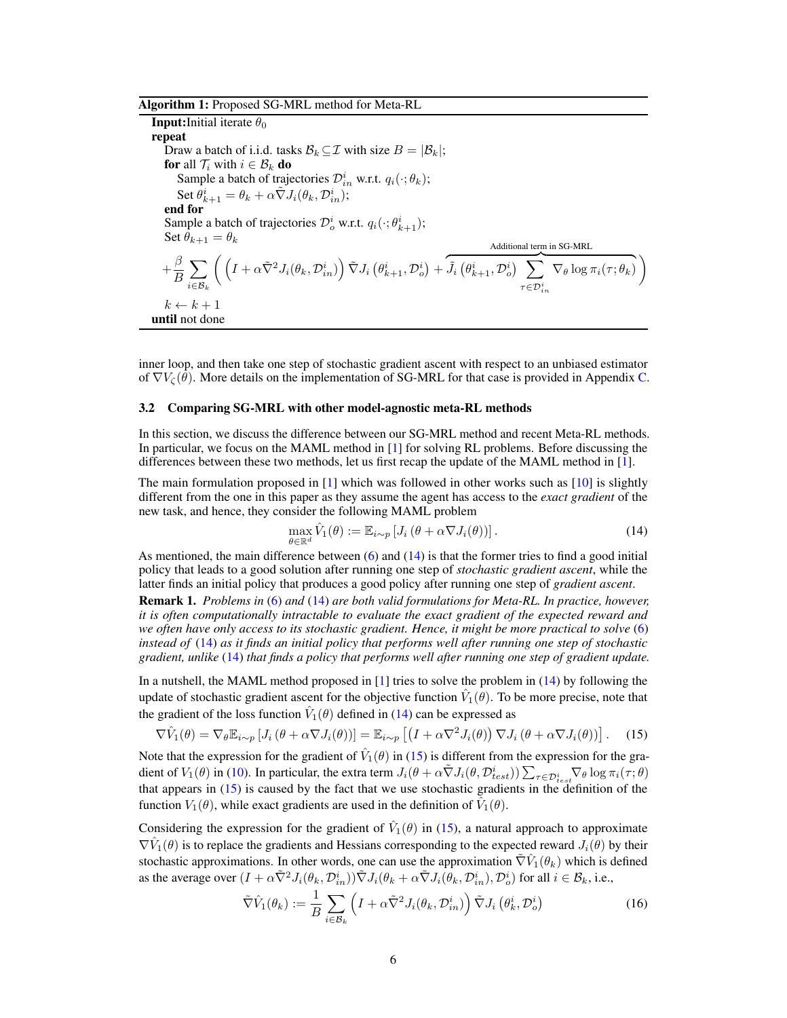Algorithm 1: Proposed SG-MRL method for Meta-RL

<span id="page-5-0"></span>**Input:**Initial iterate  $\theta_0$ repeat Draw a batch of i.i.d. tasks  $\mathcal{B}_k \subseteq \mathcal{I}$  with size  $B = |\mathcal{B}_k|$ ; for all  $\mathcal{T}_i$  with  $i \in \mathcal{B}_k$  do Sample a batch of trajectories  $\mathcal{D}_{in}^i$  w.r.t.  $q_i(\cdot; \theta_k)$ ; Set  $\theta_{k+1}^i = \theta_k + \alpha \tilde{\nabla} J_i(\theta_k, \mathcal{D}_{in}^i);$ end for Sample a batch of trajectories  $\mathcal{D}_o^i$  w.r.t.  $q_i(\cdot; \theta_{k+1}^i);$ Set  $\theta_{k+1} = \theta_k$  $+\frac{\beta}{L}$ B  $\sum$  $i \in \mathcal{B}_k$  $\left(\; \left( I+\alpha \tilde{\nabla}^{2} J_{i}(\theta _{k},\mathcal{D}_{in}^{i})\right) \tilde{\nabla} J_{i}\left(\theta _{k+1}^{i},\mathcal{D}_{o}^{i}\right)+\right.$ Additional term in SG-MRL  $\widetilde{J}_i\left(\theta_{k+1}^i,\mathcal{D}_o^i\right) \ \ \sum \ \nabla_\theta \log \pi_i(\tau;\theta_k)$  $\tau{\in}{\mathcal D}_{i\,n}^i$  $\nabla_{\theta} \log \pi_i(\tau; \theta_k)$  $k \leftarrow k + 1$ until not done

inner loop, and then take one step of stochastic gradient ascent with respect to an unbiased estimator of  $\nabla V_{\zeta}(\theta)$ . More details on the implementation of SG-MRL for that case is provided in Appendix [C.](#page-14-0)

#### 3.2 Comparing SG-MRL with other model-agnostic meta-RL methods

In this section, we discuss the difference between our SG-MRL method and recent Meta-RL methods. In particular, we focus on the MAML method in [\[1\]](#page-9-0) for solving RL problems. Before discussing the differences between these two methods, let us first recap the update of the MAML method in [\[1\]](#page-9-0).

The main formulation proposed in [\[1\]](#page-9-0) which was followed in other works such as [\[10\]](#page-9-2) is slightly different from the one in this paper as they assume the agent has access to the *exact gradient* of the new task, and hence, they consider the following MAML problem

<span id="page-5-2"></span><span id="page-5-1"></span>
$$
\max_{\theta \in \mathbb{R}^d} \hat{V}_1(\theta) := \mathbb{E}_{i \sim p} \left[ J_i \left( \theta + \alpha \nabla J_i(\theta) \right) \right]. \tag{14}
$$

As mentioned, the main difference between  $(6)$  and  $(14)$  is that the former tries to find a good initial policy that leads to a good solution after running one step of *stochastic gradient ascent*, while the latter finds an initial policy that produces a good policy after running one step of *gradient ascent*.

Remark 1. *Problems in* [\(6\)](#page-2-3) *and* [\(14\)](#page-5-1) *are both valid formulations for Meta-RL. In practice, however, it is often computationally intractable to evaluate the exact gradient of the expected reward and we often have only access to its stochastic gradient. Hence, it might be more practical to solve* [\(6\)](#page-2-3) *instead of* [\(14\)](#page-5-1) *as it finds an initial policy that performs well after running one step of stochastic gradient, unlike* [\(14\)](#page-5-1) *that finds a policy that performs well after running one step of gradient update.*

In a nutshell, the MAML method proposed in [\[1\]](#page-9-0) tries to solve the problem in [\(14\)](#page-5-1) by following the update of stochastic gradient ascent for the objective function  $\hat{V}_1(\theta)$ . To be more precise, note that the gradient of the loss function  $\hat{V}_1(\theta)$  defined in [\(14\)](#page-5-1) can be expressed as

$$
\nabla \hat{V}_1(\theta) = \nabla_{\theta} \mathbb{E}_{i \sim p} \left[ J_i \left( \theta + \alpha \nabla J_i(\theta) \right) \right] = \mathbb{E}_{i \sim p} \left[ \left( I + \alpha \nabla^2 J_i(\theta) \right) \nabla J_i \left( \theta + \alpha \nabla J_i(\theta) \right) \right]. \tag{15}
$$

Note that the expression for the gradient of  $\hat{V}_1(\theta)$  in [\(15\)](#page-5-2) is different from the expression for the gradient of  $V_1(\theta)$  in [\(10\)](#page-4-0). In particular, the extra term  $J_i(\theta + \alpha \tilde{\nabla} J_i(\theta, \mathcal{D}_{test}^i)) \sum_{\tau \in \mathcal{D}_{test}^i} \nabla_{\theta} \log \pi_i(\tau; \theta)$ that appears in [\(15\)](#page-5-2) is caused by the fact that we use stochastic gradients in the definition of the function  $V_1(\theta)$ , while exact gradients are used in the definition of  $\hat{V}_1(\theta)$ .

Considering the expression for the gradient of  $\hat{V}_1(\theta)$  in [\(15\)](#page-5-2), a natural approach to approximate  $\nabla \hat{V}_1(\theta)$  is to replace the gradients and Hessians corresponding to the expected reward  $J_i(\theta)$  by their stochastic approximations. In other words, one can use the approximation  $\tilde{\nabla}\hat{V}_1(\theta_k)$  which is defined as the average over  $(I + \alpha \tilde{\nabla}^2 J_i(\theta_k, \mathcal{D}_{in}^i)) \tilde{\nabla} J_i(\theta_k + \alpha \tilde{\nabla} J_i(\theta_k, \mathcal{D}_{in}^i), \mathcal{D}_o^i)$  for all  $i \in \mathcal{B}_k$ , i.e.,

<span id="page-5-3"></span>
$$
\tilde{\nabla}\hat{V}_1(\theta_k) := \frac{1}{B} \sum_{i \in \mathcal{B}_k} \left( I + \alpha \tilde{\nabla}^2 J_i(\theta_k, \mathcal{D}_{in}^i) \right) \tilde{\nabla} J_i \left( \theta_k^i, \mathcal{D}_o^i \right)
$$
(16)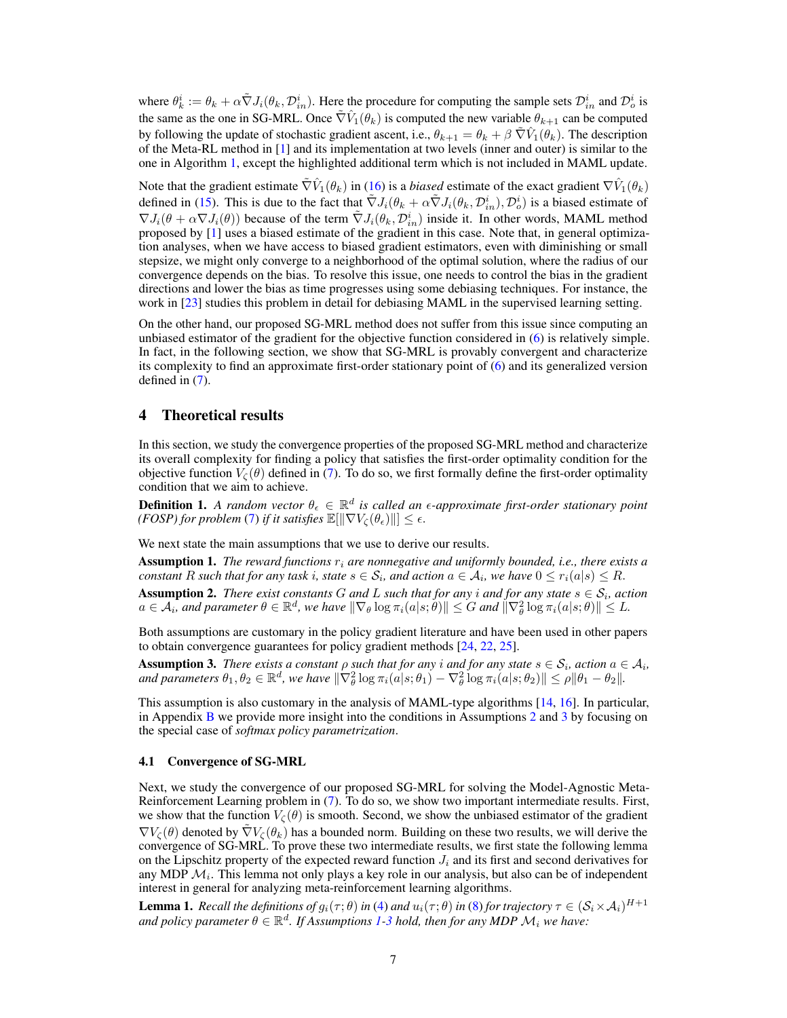where  $\theta_k^i := \theta_k + \alpha \tilde{\nabla} J_i(\theta_k, \mathcal{D}_{in}^i)$ . Here the procedure for computing the sample sets  $\mathcal{D}_{in}^i$  and  $\mathcal{D}_{o}^i$  is the same as the one in SG-MRL. Once  $\tilde{\nabla} \hat{V}_1(\theta_k)$  is computed the new variable  $\theta_{k+1}$  can be computed by following the update of stochastic gradient ascent, i.e.,  $\theta_{k+1} = \theta_k + \beta \tilde{\nabla} \hat{V}_1(\theta_k)$ . The description of the Meta-RL method in [\[1\]](#page-9-0) and its implementation at two levels (inner and outer) is similar to the one in Algorithm [1,](#page-5-0) except the highlighted additional term which is not included in MAML update.

Note that the gradient estimate  $\tilde{\nabla}\hat{V}_1(\theta_k)$  in [\(16\)](#page-5-3) is a *biased* estimate of the exact gradient  $\nabla\hat{V}_1(\theta_k)$ defined in [\(15\)](#page-5-2). This is due to the fact that  $\tilde{\nabla}J_i(\theta_k + \alpha \tilde{\nabla}J_i(\theta_k, \mathcal{D}_{in}^i), \mathcal{D}_o^i)$  is a biased estimate of  $\nabla J_i(\theta + \alpha \nabla J_i(\theta))$  because of the term  $\tilde{\nabla} J_i(\theta_k, \mathcal{D}_{in}^i)$  inside it. In other words, MAML method proposed by [\[1\]](#page-9-0) uses a biased estimate of the gradient in this case. Note that, in general optimization analyses, when we have access to biased gradient estimators, even with diminishing or small stepsize, we might only converge to a neighborhood of the optimal solution, where the radius of our convergence depends on the bias. To resolve this issue, one needs to control the bias in the gradient directions and lower the bias as time progresses using some debiasing techniques. For instance, the work in [\[23\]](#page-10-10) studies this problem in detail for debiasing MAML in the supervised learning setting.

On the other hand, our proposed SG-MRL method does not suffer from this issue since computing an unbiased estimator of the gradient for the objective function considered in [\(6\)](#page-2-3) is relatively simple. In fact, in the following section, we show that SG-MRL is provably convergent and characterize its complexity to find an approximate first-order stationary point of [\(6\)](#page-2-3) and its generalized version defined in [\(7\)](#page-3-2).

## 4 Theoretical results

In this section, we study the convergence properties of the proposed SG-MRL method and characterize its overall complexity for finding a policy that satisfies the first-order optimality condition for the objective function  $V_{\mathcal{C}}(\theta)$  defined in [\(7\)](#page-3-2). To do so, we first formally define the first-order optimality condition that we aim to achieve.

**Definition 1.** A random vector  $\theta_{\epsilon} \in \mathbb{R}^d$  is called an  $\epsilon$ -approximate first-order stationary point *(FOSP) for problem* [\(7\)](#page-3-2) *if it satisfies*  $\mathbb{E}[\|\nabla V_{\zeta}(\theta_{\epsilon})\|] \leq \epsilon$ .

We next state the main assumptions that we use to derive our results.

<span id="page-6-2"></span>**Assumption 1.** *The reward functions*  $r_i$  *are nonnegative and uniformly bounded, i.e., there exists a*  $constant$   $R$  such that for any task  $i$ , state  $s \in \mathcal{S}_i$ , and action  $a \in \mathcal{A}_i$ , we have  $0 \leq r_i(a|s) \leq R$ .

<span id="page-6-0"></span>**Assumption 2.** There exist constants G and L such that for any i and for any state  $s \in \mathcal{S}_i$ , action  $a \in \mathcal{A}_i$ , and parameter  $\theta \in \mathbb{R}^d$ , we have  $\|\nabla_\theta \log \pi_i(a|s;\theta)\| \leq G$  and  $\|\nabla^2_\theta \log \pi_i(a|s;\theta)\| \leq L$ .

Both assumptions are customary in the policy gradient literature and have been used in other papers to obtain convergence guarantees for policy gradient methods [\[24,](#page-10-11) [22,](#page-10-9) [25\]](#page-10-12).

<span id="page-6-1"></span>**Assumption 3.** *There exists a constant*  $\rho$  *such that for any i and for any state*  $s \in S_i$ *, action*  $a \in A_i$ *,* and parameters  $\theta_1, \theta_2 \in \mathbb{R}^d$ , we have  $\|\nabla^2_{\theta} \log \pi_i(a|s; \theta_1) - \nabla^2_{\theta} \log \pi_i(a|s; \theta_2)\| \leq \rho \|\theta_1 - \theta_2\|.$ 

This assumption is also customary in the analysis of MAML-type algorithms [\[14,](#page-10-2) [16\]](#page-10-4). In particular, in Appendix  $\overline{B}$  $\overline{B}$  $\overline{B}$  we provide more insight into the conditions in Assumptions [2](#page-6-0) and [3](#page-6-1) by focusing on the special case of *softmax policy parametrization*.

#### 4.1 Convergence of SG-MRL

Next, we study the convergence of our proposed SG-MRL for solving the Model-Agnostic Meta-Reinforcement Learning problem in [\(7\)](#page-3-2). To do so, we show two important intermediate results. First, we show that the function  $V_{\zeta}(\theta)$  is smooth. Second, we show the unbiased estimator of the gradient  $\nabla V_{\zeta}(\theta)$  denoted by  $\nabla V_{\zeta}(\theta_k)$  has a bounded norm. Building on these two results, we will derive the convergence of SG-MRL. To prove these two intermediate results, we first state the following lemma on the Lipschitz property of the expected reward function  $J_i$  and its first and second derivatives for any MDP  $\mathcal{M}_i$ . This lemma not only plays a key role in our analysis, but also can be of independent interest in general for analyzing meta-reinforcement learning algorithms.

<span id="page-6-3"></span>**Lemma 1.** Recall the definitions of  $g_i(\tau;\theta)$  in [\(4\)](#page-2-4) and  $u_i(\tau;\theta)$  in [\(8\)](#page-3-0) for trajectory  $\tau \in (\mathcal{S}_i \times \mathcal{A}_i)^{H+1}$  $\alpha$  *and policy parameter*  $\theta \in \mathbb{R}^d$ . If Assumptions [1](#page-6-2)[-3](#page-6-1) hold, then for any MDP  $\mathcal{M}_i$  we have: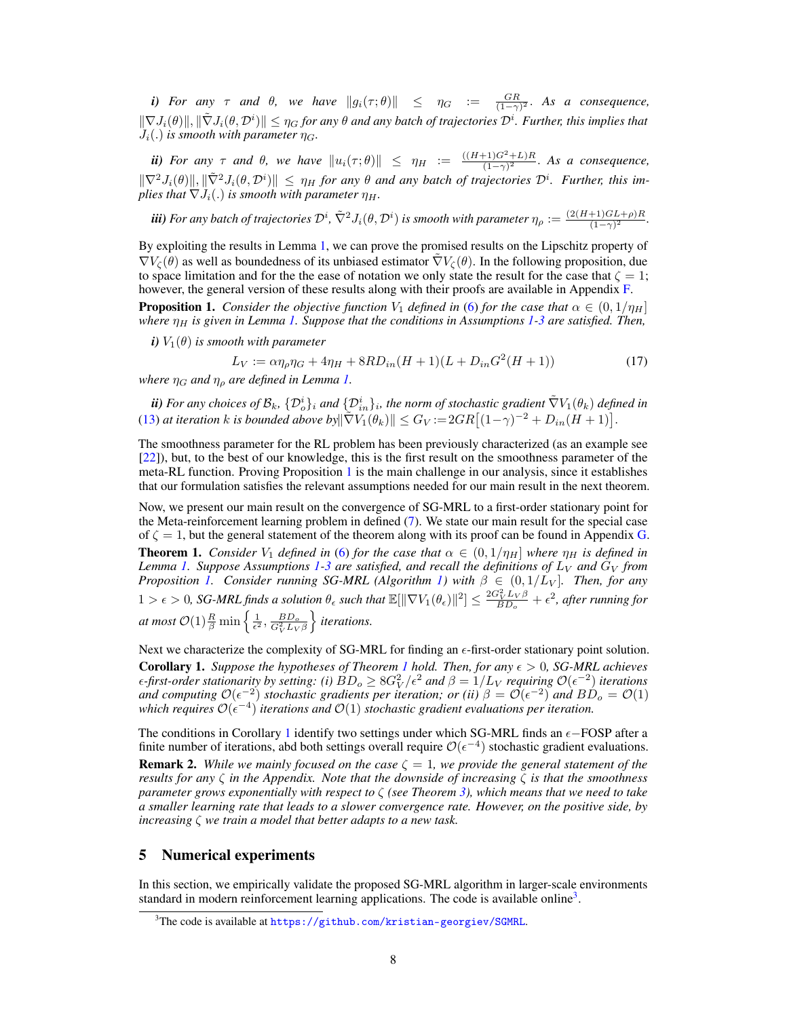*i) For any*  $\tau$  *and*  $\theta$ *, we have*  $||g_i(\tau;\theta)|| \leq \eta_G := \frac{GR}{(1-\gamma)^2}$ . As a consequence,  $\|\nabla J_i(\theta)\|, \|\tilde\nabla J_i(\theta, \mathcal{D}^i)\| \leq \eta_G$  for any  $\theta$  and any batch of trajectories  $\mathcal{D}^i$ . Further, this implies that  $J_i(.)$  *is smooth with parameter*  $\eta_G$ .

*ii)* For any  $\tau$  and  $\theta$ , we have  $||u_i(\tau;\theta)|| \leq \eta_H := \frac{((H+1)G^2+L)R}{(1-\gamma)^2}$  $\frac{(-1)(G^{2}+L)R}{(1-\gamma)^{2}}$ . As a consequence,  $\|\nabla^2 J_i(\theta)\|, \|\tilde{\nabla}^2 J_i(\theta, \mathcal{D}^i)\| \leq \eta_H$  *for any*  $\theta$  *and any batch of trajectories*  $\mathcal{D}^i$ *. Further, this implies that*  $\nabla J_i(.)$  *is smooth with parameter*  $\eta_H$ *.* 

 $\bf{\ddot{iii}}$ ) For any batch of trajectories  $\mathcal{D}^i$ ,  $\tilde{\nabla}^2 J_i(\theta,\mathcal{D}^i)$  is smooth with parameter  $\eta_\rho:=\frac{(2(H+1)GL+\rho)R}{(1-\gamma)^2}$  $\frac{+1}{(1-\gamma)^2}$ .

By exploiting the results in Lemma [1,](#page-6-3) we can prove the promised results on the Lipschitz property of  $\nabla V_{\zeta}(\theta)$  as well as boundedness of its unbiased estimator  $\tilde{\nabla}V_{\zeta}(\theta)$ . In the following proposition, due to space limitation and for the the ease of notation we only state the result for the case that  $\zeta = 1$ ; however, the general version of these results along with their proofs are available in Appendix [F.](#page-18-0)

<span id="page-7-0"></span>**Proposition 1.** *Consider the objective function*  $V_1$  *defined in* [\(6\)](#page-2-3) *for the case that*  $\alpha \in (0, 1/\eta_H]$ *where*  $\eta_H$  *is given in Lemma [1.](#page-6-3) Suppose that the conditions in Assumptions [1-](#page-6-2)[3](#page-6-1) are satisfied. Then,* 

*i*)  $V_1(\theta)$  *is smooth with parameter* 

$$
L_V := \alpha \eta_\rho \eta_G + 4\eta_H + 8RD_{in}(H+1)(L+D_{in}G^2(H+1))\tag{17}
$$

*where*  $\eta_G$  *and*  $\eta_\rho$  *are defined in Lemma [1.](#page-6-3)* 

 $i$ *ii) For any choices of*  $\mathcal{B}_k$ *,*  $\{\mathcal{D}_o^i\}_i$  *and*  $\{\mathcal{D}_{in}^i\}_i$ *, the norm of stochastic gradient*  $\tilde{\nabla}V_1(\theta_k)$  *<i>defined in* [\(13\)](#page-4-1) *at iteration k is bounded above by* $\|\nabla V_1(\theta_k)\| \leq G_V := 2GR[(1-\gamma)^{-2} + D_{in}(H+1)].$ 

The smoothness parameter for the RL problem has been previously characterized (as an example see [\[22\]](#page-10-9)), but, to the best of our knowledge, this is the first result on the smoothness parameter of the meta-RL function. Proving Proposition [1](#page-7-0) is the main challenge in our analysis, since it establishes that our formulation satisfies the relevant assumptions needed for our main result in the next theorem.

<span id="page-7-1"></span>Now, we present our main result on the convergence of SG-MRL to a first-order stationary point for the Meta-reinforcement learning problem in defined [\(7\)](#page-3-2). We state our main result for the special case of  $\zeta = 1$ , but the general statement of the theorem along with its proof can be found in Appendix [G.](#page-21-0) **Theorem 1.** *Consider*  $V_1$  *defined in* [\(6\)](#page-2-3) *for the case that*  $\alpha \in (0, 1/\eta_H]$  *where*  $\eta_H$  *is defined in Lemma* [1.](#page-6-3) Suppose Assumptions [1](#page-6-2)[-3](#page-6-1) are satisfied, and recall the definitions of  $L_V$  and  $G_V$  from *Proposition* [1.](#page-7-0) Consider running SG-MRL (Algorithm [1\)](#page-5-0) with  $\beta \in (0, 1/L_V]$ . Then, for any  $1 > \epsilon > 0$ , SG-MRL finds a solution  $\theta_{\epsilon}$  such that  $\mathbb{E}[\|\nabla V_1(\theta_{\epsilon})\|^2] \leq \frac{2G_V^2 L_V \beta}{BD_o} + \epsilon^2$ , after running for at most  $\mathcal{O}(1) \frac{R}{\beta} \min \left\{ \frac{1}{\epsilon^2}, \frac{BD_o}{G_V^2 L_V \beta} \right\}$ o *iterations.*

<span id="page-7-2"></span>Next we characterize the complexity of SG-MRL for finding an  $\epsilon$ -first-order stationary point solution. **Corollary [1](#page-7-1).** *Suppose the hypotheses of Theorem 1 hold. Then, for any*  $\epsilon > 0$ , *SG-MRL achieves*  $\epsilon$ -first-order stationarity by setting: (i)  $\dot{B}D_o\geq 8G_V^2/\epsilon^2$  and  $\beta=1/L_V$  requiring  $\mathcal{O}(\epsilon^{-2})$  iterations *and computing*  $\mathcal{O}(\epsilon^{-2})$  *stochastic gradients per iteration; or (ii)*  $\beta = \mathcal{O}(\epsilon^{-2})$  *and*  $B\dot{D}_o = \mathcal{O}(1)$  $\omega$  *which requires*  $\mathcal{O}(\epsilon^{-4})$  *iterations and*  $\mathcal{O}(1)$  *stochastic gradient evaluations per iteration.* 

The conditions in Corollary [1](#page-7-2) identify two settings under which SG-MRL finds an  $\epsilon$ -FOSP after a finite number of iterations, abd both settings overall require  $\mathcal{O}(\epsilon^{-4})$  stochastic gradient evaluations. **Remark 2.** *While we mainly focused on the case*  $\zeta = 1$ *, we provide the general statement of the results for any* ζ *in the Appendix. Note that the downside of increasing* ζ *is that the smoothness parameter grows exponentially with respect to* ζ *(see Theorem [3\)](#page-18-1), which means that we need to take a smaller learning rate that leads to a slower convergence rate. However, on the positive side, by increasing* ζ *we train a model that better adapts to a new task.*

# <span id="page-7-4"></span>5 Numerical experiments

In this section, we empirically validate the proposed SG-MRL algorithm in larger-scale environments standard in modern reinforcement learning applications. The code is available online<sup>[3](#page-7-3)</sup>.

<span id="page-7-3"></span><sup>&</sup>lt;sup>3</sup>The code is available at <https://github.com/kristian-georgiev/SGMRL>.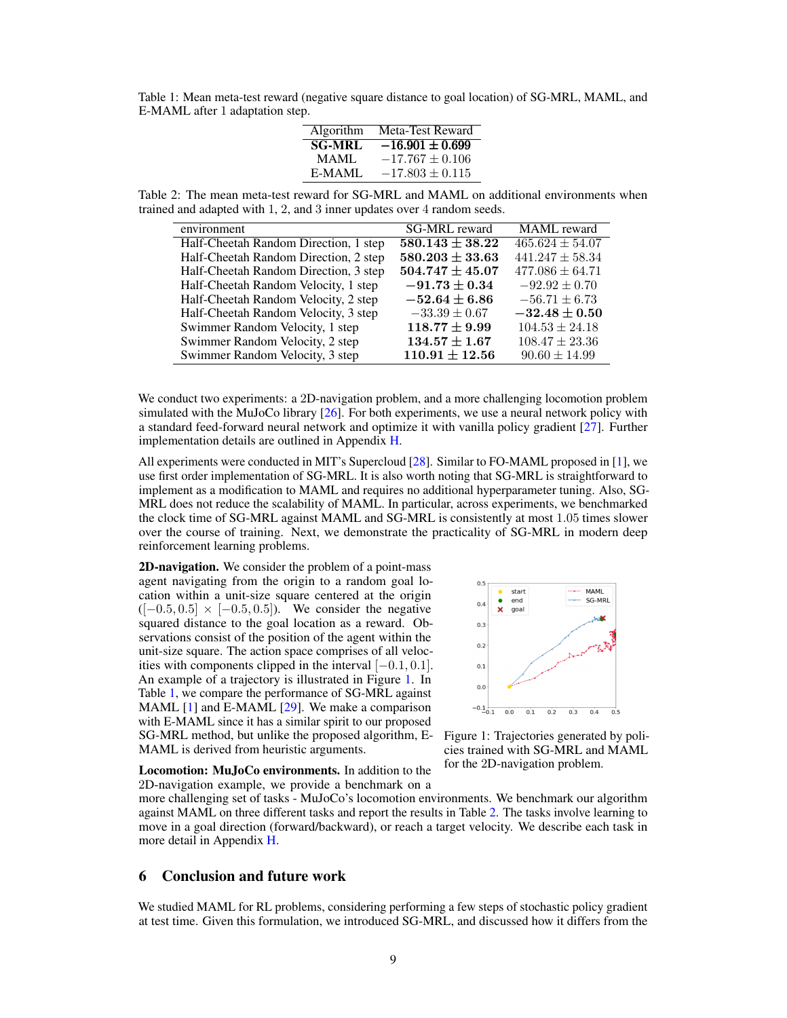<span id="page-8-1"></span>Table 1: Mean meta-test reward (negative square distance to goal location) of SG-MRL, MAML, and E-MAML after 1 adaptation step.

| Algorithm     | Meta-Test Reward    |
|---------------|---------------------|
| <b>SG-MRL</b> | $-16.901 \pm 0.699$ |
| MAML.         | $-17.767 \pm 0.106$ |
| E-MAML        | $-17.803 \pm 0.115$ |
|               |                     |

Table 2: The mean meta-test reward for SG-MRL and MAML on additional environments when trained and adapted with 1, 2, and 3 inner updates over 4 random seeds.

<span id="page-8-2"></span>

| environment                           | <b>SG-MRL</b> reward | <b>MAML</b> reward  |
|---------------------------------------|----------------------|---------------------|
| Half-Cheetah Random Direction, 1 step | $580.143 \pm 38.22$  | $465.624 \pm 54.07$ |
| Half-Cheetah Random Direction, 2 step | $580.203 \pm 33.63$  | $441.247 \pm 58.34$ |
| Half-Cheetah Random Direction, 3 step | $504.747 \pm 45.07$  | $477.086 \pm 64.71$ |
| Half-Cheetah Random Velocity, 1 step  | $-91.73 \pm 0.34$    | $-92.92 \pm 0.70$   |
| Half-Cheetah Random Velocity, 2 step  | $-52.64 \pm 6.86$    | $-56.71 \pm 6.73$   |
| Half-Cheetah Random Velocity, 3 step  | $-33.39 \pm 0.67$    | $-32.48 \pm 0.50$   |
| Swimmer Random Velocity, 1 step       | $118.77 \pm 9.99$    | $104.53 \pm 24.18$  |
| Swimmer Random Velocity, 2 step       | $134.57 \pm 1.67$    | $108.47 \pm 23.36$  |
| Swimmer Random Velocity, 3 step       | $110.91 \pm 12.56$   | $90.60 \pm 14.99$   |

We conduct two experiments: a 2D-navigation problem, and a more challenging locomotion problem simulated with the MuJoCo library [\[26\]](#page-10-13). For both experiments, we use a neural network policy with a standard feed-forward neural network and optimize it with vanilla policy gradient [\[27\]](#page-10-14). Further implementation details are outlined in Appendix [H.](#page-23-0)

All experiments were conducted in MIT's Supercloud [\[28\]](#page-10-15). Similar to FO-MAML proposed in [\[1\]](#page-9-0), we use first order implementation of SG-MRL. It is also worth noting that SG-MRL is straightforward to implement as a modification to MAML and requires no additional hyperparameter tuning. Also, SG-MRL does not reduce the scalability of MAML. In particular, across experiments, we benchmarked the clock time of SG-MRL against MAML and SG-MRL is consistently at most 1.05 times slower over the course of training. Next, we demonstrate the practicality of SG-MRL in modern deep reinforcement learning problems.

2D-navigation. We consider the problem of a point-mass agent navigating from the origin to a random goal location within a unit-size square centered at the origin  $([-0.5, 0.5] \times [-0.5, 0.5])$ . We consider the negative squared distance to the goal location as a reward. Observations consist of the position of the agent within the unit-size square. The action space comprises of all velocities with components clipped in the interval  $[-0.1, 0.1]$ . An example of a trajectory is illustrated in Figure [1.](#page-8-0) In Table [1,](#page-8-1) we compare the performance of SG-MRL against MAML [\[1\]](#page-9-0) and E-MAML [\[29\]](#page-11-0). We make a comparison with E-MAML since it has a similar spirit to our proposed SG-MRL method, but unlike the proposed algorithm, E-MAML is derived from heuristic arguments.



<span id="page-8-0"></span>Figure 1: Trajectories generated by policies trained with SG-MRL and MAML for the 2D-navigation problem.

Locomotion: MuJoCo environments. In addition to the 2D-navigation example, we provide a benchmark on a

more challenging set of tasks - MuJoCo's locomotion environments. We benchmark our algorithm against MAML on three different tasks and report the results in Table [2.](#page-8-2) The tasks involve learning to move in a goal direction (forward/backward), or reach a target velocity. We describe each task in more detail in Appendix [H.](#page-23-0)

# 6 Conclusion and future work

We studied MAML for RL problems, considering performing a few steps of stochastic policy gradient at test time. Given this formulation, we introduced SG-MRL, and discussed how it differs from the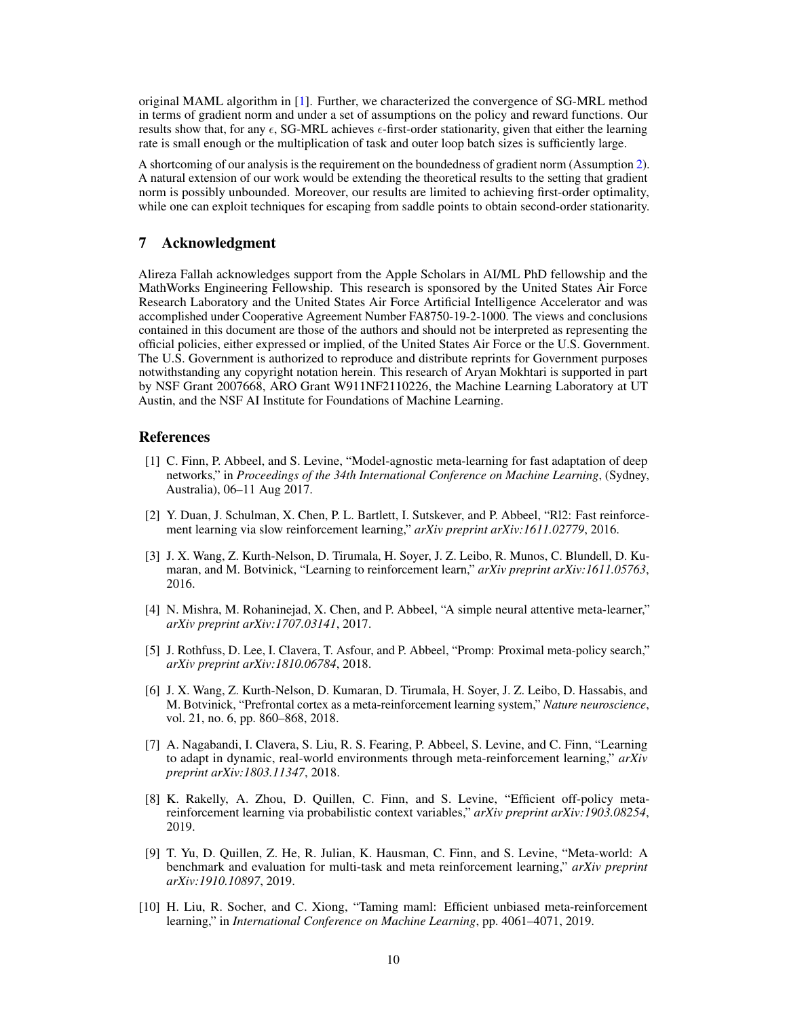original MAML algorithm in [\[1\]](#page-9-0). Further, we characterized the convergence of SG-MRL method in terms of gradient norm and under a set of assumptions on the policy and reward functions. Our results show that, for any  $\epsilon$ , SG-MRL achieves  $\epsilon$ -first-order stationarity, given that either the learning rate is small enough or the multiplication of task and outer loop batch sizes is sufficiently large.

A shortcoming of our analysis is the requirement on the boundedness of gradient norm (Assumption [2\)](#page-6-0). A natural extension of our work would be extending the theoretical results to the setting that gradient norm is possibly unbounded. Moreover, our results are limited to achieving first-order optimality, while one can exploit techniques for escaping from saddle points to obtain second-order stationarity.

## 7 Acknowledgment

Alireza Fallah acknowledges support from the Apple Scholars in AI/ML PhD fellowship and the MathWorks Engineering Fellowship. This research is sponsored by the United States Air Force Research Laboratory and the United States Air Force Artificial Intelligence Accelerator and was accomplished under Cooperative Agreement Number FA8750-19-2-1000. The views and conclusions contained in this document are those of the authors and should not be interpreted as representing the official policies, either expressed or implied, of the United States Air Force or the U.S. Government. The U.S. Government is authorized to reproduce and distribute reprints for Government purposes notwithstanding any copyright notation herein. This research of Aryan Mokhtari is supported in part by NSF Grant 2007668, ARO Grant W911NF2110226, the Machine Learning Laboratory at UT Austin, and the NSF AI Institute for Foundations of Machine Learning.

## References

- <span id="page-9-0"></span>[1] C. Finn, P. Abbeel, and S. Levine, "Model-agnostic meta-learning for fast adaptation of deep networks," in *Proceedings of the 34th International Conference on Machine Learning*, (Sydney, Australia), 06–11 Aug 2017.
- [2] Y. Duan, J. Schulman, X. Chen, P. L. Bartlett, I. Sutskever, and P. Abbeel, "Rl2: Fast reinforcement learning via slow reinforcement learning," *arXiv preprint arXiv:1611.02779*, 2016.
- [3] J. X. Wang, Z. Kurth-Nelson, D. Tirumala, H. Soyer, J. Z. Leibo, R. Munos, C. Blundell, D. Kumaran, and M. Botvinick, "Learning to reinforcement learn," *arXiv preprint arXiv:1611.05763*, 2016.
- [4] N. Mishra, M. Rohaninejad, X. Chen, and P. Abbeel, "A simple neural attentive meta-learner," *arXiv preprint arXiv:1707.03141*, 2017.
- [5] J. Rothfuss, D. Lee, I. Clavera, T. Asfour, and P. Abbeel, "Promp: Proximal meta-policy search," *arXiv preprint arXiv:1810.06784*, 2018.
- [6] J. X. Wang, Z. Kurth-Nelson, D. Kumaran, D. Tirumala, H. Soyer, J. Z. Leibo, D. Hassabis, and M. Botvinick, "Prefrontal cortex as a meta-reinforcement learning system," *Nature neuroscience*, vol. 21, no. 6, pp. 860–868, 2018.
- [7] A. Nagabandi, I. Clavera, S. Liu, R. S. Fearing, P. Abbeel, S. Levine, and C. Finn, "Learning to adapt in dynamic, real-world environments through meta-reinforcement learning," *arXiv preprint arXiv:1803.11347*, 2018.
- [8] K. Rakelly, A. Zhou, D. Quillen, C. Finn, and S. Levine, "Efficient off-policy metareinforcement learning via probabilistic context variables," *arXiv preprint arXiv:1903.08254*, 2019.
- <span id="page-9-1"></span>[9] T. Yu, D. Quillen, Z. He, R. Julian, K. Hausman, C. Finn, and S. Levine, "Meta-world: A benchmark and evaluation for multi-task and meta reinforcement learning," *arXiv preprint arXiv:1910.10897*, 2019.
- <span id="page-9-2"></span>[10] H. Liu, R. Socher, and C. Xiong, "Taming maml: Efficient unbiased meta-reinforcement learning," in *International Conference on Machine Learning*, pp. 4061–4071, 2019.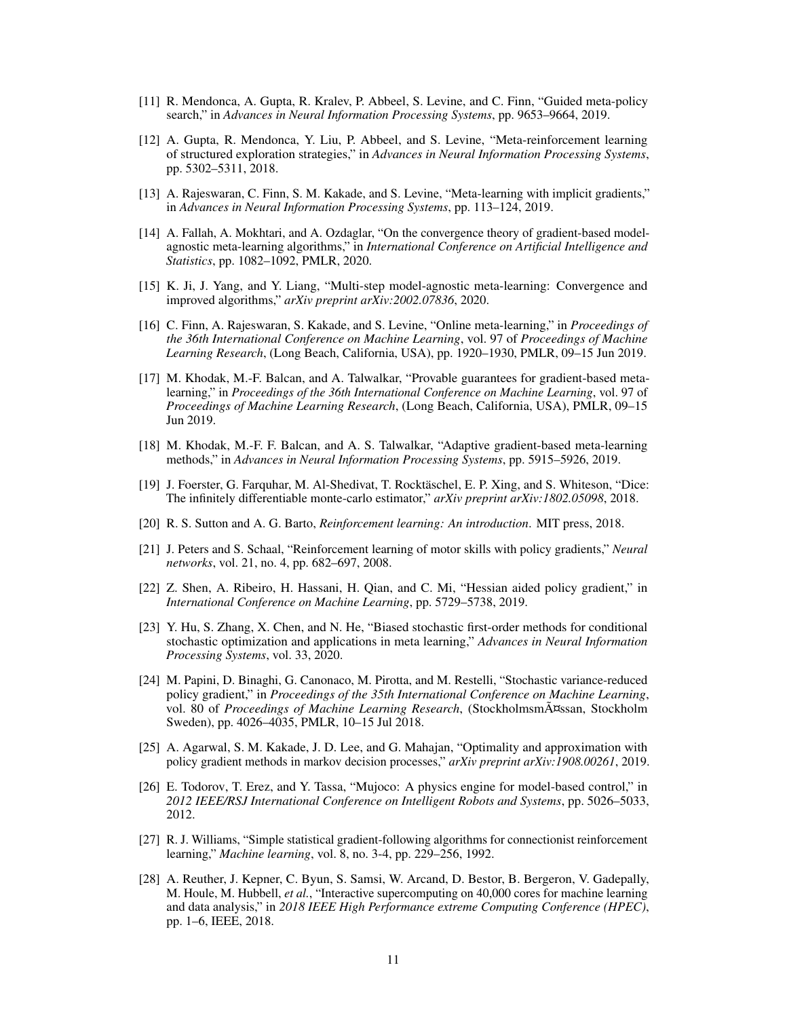- [11] R. Mendonca, A. Gupta, R. Kralev, P. Abbeel, S. Levine, and C. Finn, "Guided meta-policy search," in *Advances in Neural Information Processing Systems*, pp. 9653–9664, 2019.
- <span id="page-10-0"></span>[12] A. Gupta, R. Mendonca, Y. Liu, P. Abbeel, and S. Levine, "Meta-reinforcement learning of structured exploration strategies," in *Advances in Neural Information Processing Systems*, pp. 5302–5311, 2018.
- <span id="page-10-1"></span>[13] A. Rajeswaran, C. Finn, S. M. Kakade, and S. Levine, "Meta-learning with implicit gradients," in *Advances in Neural Information Processing Systems*, pp. 113–124, 2019.
- <span id="page-10-2"></span>[14] A. Fallah, A. Mokhtari, and A. Ozdaglar, "On the convergence theory of gradient-based modelagnostic meta-learning algorithms," in *International Conference on Artificial Intelligence and Statistics*, pp. 1082–1092, PMLR, 2020.
- <span id="page-10-3"></span>[15] K. Ji, J. Yang, and Y. Liang, "Multi-step model-agnostic meta-learning: Convergence and improved algorithms," *arXiv preprint arXiv:2002.07836*, 2020.
- <span id="page-10-4"></span>[16] C. Finn, A. Rajeswaran, S. Kakade, and S. Levine, "Online meta-learning," in *Proceedings of the 36th International Conference on Machine Learning*, vol. 97 of *Proceedings of Machine Learning Research*, (Long Beach, California, USA), pp. 1920–1930, PMLR, 09–15 Jun 2019.
- <span id="page-10-6"></span>[17] M. Khodak, M.-F. Balcan, and A. Talwalkar, "Provable guarantees for gradient-based metalearning," in *Proceedings of the 36th International Conference on Machine Learning*, vol. 97 of *Proceedings of Machine Learning Research*, (Long Beach, California, USA), PMLR, 09–15 Jun 2019.
- <span id="page-10-5"></span>[18] M. Khodak, M.-F. F. Balcan, and A. S. Talwalkar, "Adaptive gradient-based meta-learning methods," in *Advances in Neural Information Processing Systems*, pp. 5915–5926, 2019.
- <span id="page-10-7"></span>[19] J. Foerster, G. Farquhar, M. Al-Shedivat, T. Rocktäschel, E. P. Xing, and S. Whiteson, "Dice: The infinitely differentiable monte-carlo estimator," *arXiv preprint arXiv:1802.05098*, 2018.
- <span id="page-10-8"></span>[20] R. S. Sutton and A. G. Barto, *Reinforcement learning: An introduction*. MIT press, 2018.
- [21] J. Peters and S. Schaal, "Reinforcement learning of motor skills with policy gradients," *Neural networks*, vol. 21, no. 4, pp. 682–697, 2008.
- <span id="page-10-9"></span>[22] Z. Shen, A. Ribeiro, H. Hassani, H. Qian, and C. Mi, "Hessian aided policy gradient," in *International Conference on Machine Learning*, pp. 5729–5738, 2019.
- <span id="page-10-10"></span>[23] Y. Hu, S. Zhang, X. Chen, and N. He, "Biased stochastic first-order methods for conditional stochastic optimization and applications in meta learning," *Advances in Neural Information Processing Systems*, vol. 33, 2020.
- <span id="page-10-11"></span>[24] M. Papini, D. Binaghi, G. Canonaco, M. Pirotta, and M. Restelli, "Stochastic variance-reduced policy gradient," in *Proceedings of the 35th International Conference on Machine Learning*, vol. 80 of *Proceedings of Machine Learning Research*, (Stockholmsmässan, Stockholm Sweden), pp. 4026–4035, PMLR, 10–15 Jul 2018.
- <span id="page-10-12"></span>[25] A. Agarwal, S. M. Kakade, J. D. Lee, and G. Mahajan, "Optimality and approximation with policy gradient methods in markov decision processes," *arXiv preprint arXiv:1908.00261*, 2019.
- <span id="page-10-13"></span>[26] E. Todorov, T. Erez, and Y. Tassa, "Mujoco: A physics engine for model-based control," in *2012 IEEE/RSJ International Conference on Intelligent Robots and Systems*, pp. 5026–5033, 2012.
- <span id="page-10-14"></span>[27] R. J. Williams, "Simple statistical gradient-following algorithms for connectionist reinforcement learning," *Machine learning*, vol. 8, no. 3-4, pp. 229–256, 1992.
- <span id="page-10-15"></span>[28] A. Reuther, J. Kepner, C. Byun, S. Samsi, W. Arcand, D. Bestor, B. Bergeron, V. Gadepally, M. Houle, M. Hubbell, *et al.*, "Interactive supercomputing on 40,000 cores for machine learning and data analysis," in *2018 IEEE High Performance extreme Computing Conference (HPEC)*, pp. 1–6, IEEE, 2018.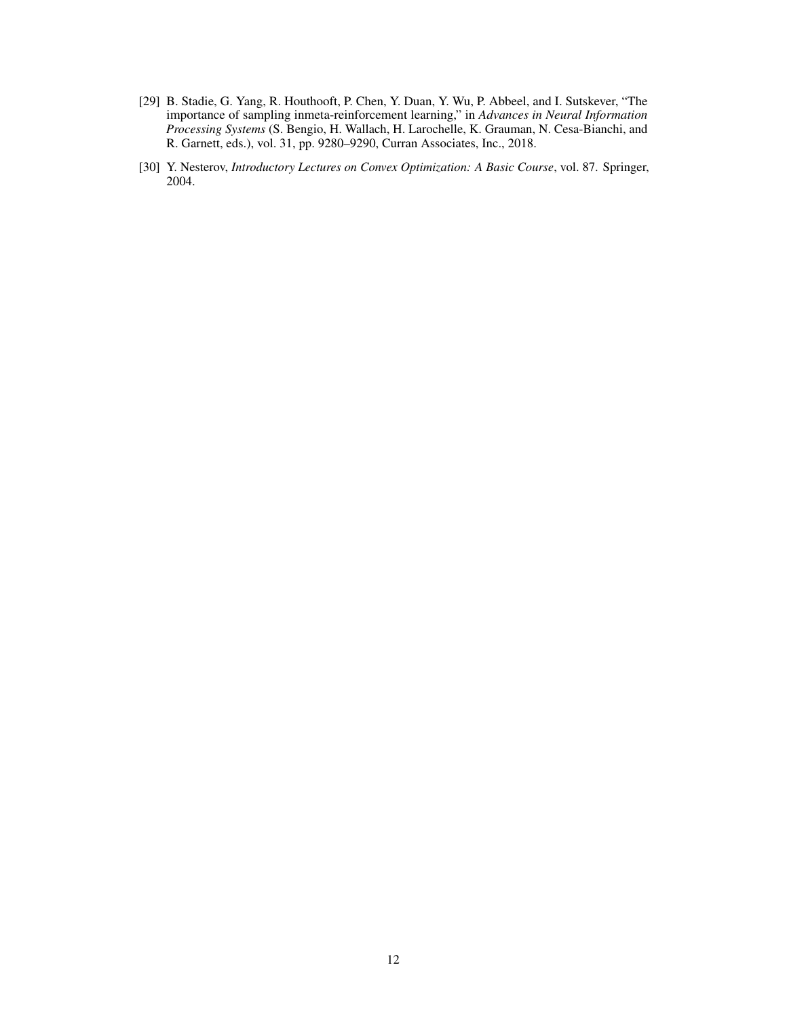- <span id="page-11-0"></span>[29] B. Stadie, G. Yang, R. Houthooft, P. Chen, Y. Duan, Y. Wu, P. Abbeel, and I. Sutskever, "The importance of sampling inmeta-reinforcement learning," in *Advances in Neural Information Processing Systems* (S. Bengio, H. Wallach, H. Larochelle, K. Grauman, N. Cesa-Bianchi, and R. Garnett, eds.), vol. 31, pp. 9280–9290, Curran Associates, Inc., 2018.
- <span id="page-11-1"></span>[30] Y. Nesterov, *Introductory Lectures on Convex Optimization: A Basic Course*, vol. 87. Springer, 2004.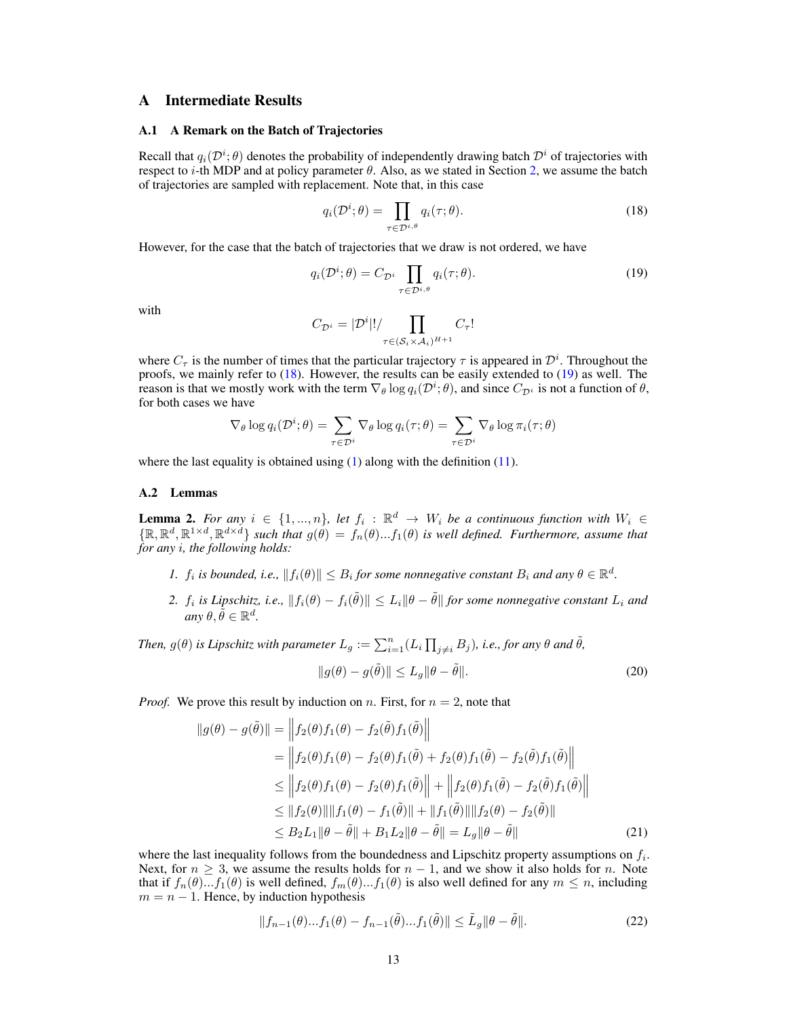# A Intermediate Results

#### <span id="page-12-0"></span>A.1 A Remark on the Batch of Trajectories

Recall that  $q_i(\mathcal{D}^i; \theta)$  denotes the probability of independently drawing batch  $\mathcal{D}^i$  of trajectories with respect to *i*-th MDP and at policy parameter  $\theta$ . Also, as we stated in Section [2,](#page-2-7) we assume the batch of trajectories are sampled with replacement. Note that, in this case

<span id="page-12-2"></span><span id="page-12-1"></span>
$$
q_i(\mathcal{D}^i; \theta) = \prod_{\tau \in \mathcal{D}^{i,\theta}} q_i(\tau; \theta).
$$
 (18)

However, for the case that the batch of trajectories that we draw is not ordered, we have

$$
q_i(\mathcal{D}^i; \theta) = C_{\mathcal{D}^i} \prod_{\tau \in \mathcal{D}^{i,\theta}} q_i(\tau; \theta).
$$
 (19)

with

$$
C_{\mathcal{D}^i} = |\mathcal{D}^i|! / \prod_{\tau \in (S_i \times \mathcal{A}_i)^{H+1}} C_{\tau}!
$$

where  $C_{\tau}$  is the number of times that the particular trajectory  $\tau$  is appeared in  $\mathcal{D}^{i}$ . Throughout the proofs, we mainly refer to [\(18\)](#page-12-1). However, the results can be easily extended to [\(19\)](#page-12-2) as well. The reason is that we mostly work with the term  $\nabla_{\theta} \log q_i(\mathcal{D}^i; \theta)$ , and since  $C_{\mathcal{D}^i}$  is not a function of  $\theta$ , for both cases we have

$$
\nabla_{\theta} \log q_i(\mathcal{D}^i; \theta) = \sum_{\tau \in \mathcal{D}^i} \nabla_{\theta} \log q_i(\tau; \theta) = \sum_{\tau \in \mathcal{D}^i} \nabla_{\theta} \log \pi_i(\tau; \theta)
$$

where the last equality is obtained using [\(1\)](#page-2-8) along with the definition [\(11\)](#page-4-2).

#### A.2 Lemmas

<span id="page-12-4"></span>**Lemma 2.** For any  $i \in \{1, ..., n\}$ , let  $f_i : \mathbb{R}^d \to W_i$  be a continuous function with  $W_i \in$  $\{\mathbb{R},\mathbb{R}^d,\mathbb{R}^{1\times d},\mathbb{R}^{d\times d}\}\$  such that  $g(\theta)=f_n(\theta)...f_1(\theta)$  is well defined. Furthermore, assume that *for any* i*, the following holds:*

- *1.*  $f_i$  is bounded, i.e.,  $||f_i(\theta)|| \leq B_i$  for some nonnegative constant  $B_i$  and any  $\theta \in \mathbb{R}^d$ .
- 2.  $f_i$  is Lipschitz, i.e.,  $||f_i(\theta) f_i(\tilde{\theta})|| \le L_i ||\theta \tilde{\theta}||$  for some nonnegative constant  $L_i$  and  $any \theta, \tilde{\theta} \in \mathbb{R}^d$ .

Then,  $g(\theta)$  is Lipschitz with parameter  $L_g:=\sum_{i=1}^n(L_i\prod_{j\neq i}B_j)$ , i.e., for any  $\theta$  and  $\tilde{\theta}$ ,

<span id="page-12-3"></span>
$$
||g(\theta) - g(\tilde{\theta})|| \le L_g \|\theta - \tilde{\theta}\|.
$$
\n(20)

*Proof.* We prove this result by induction on n. First, for  $n = 2$ , note that

$$
\|g(\theta) - g(\tilde{\theta})\| = \|f_2(\theta)f_1(\theta) - f_2(\tilde{\theta})f_1(\tilde{\theta})\|
$$
  
\n
$$
= \|f_2(\theta)f_1(\theta) - f_2(\theta)f_1(\tilde{\theta}) + f_2(\theta)f_1(\tilde{\theta}) - f_2(\tilde{\theta})f_1(\tilde{\theta})\|
$$
  
\n
$$
\leq \|f_2(\theta)f_1(\theta) - f_2(\theta)f_1(\tilde{\theta})\| + \|f_2(\theta)f_1(\tilde{\theta}) - f_2(\tilde{\theta})f_1(\tilde{\theta})\|
$$
  
\n
$$
\leq \|f_2(\theta)\| \|f_1(\theta) - f_1(\tilde{\theta})\| + \|f_1(\tilde{\theta})\| \|f_2(\theta) - f_2(\tilde{\theta})\|
$$
  
\n
$$
\leq B_2 L_1 \|\theta - \tilde{\theta}\| + B_1 L_2 \|\theta - \tilde{\theta}\| = L_g \|\theta - \tilde{\theta}\|
$$
 (21)

where the last inequality follows from the boundedness and Lipschitz property assumptions on  $f_i$ . Next, for  $n \geq 3$ , we assume the results holds for  $n-1$ , and we show it also holds for n. Note that if  $f_n(\theta)...f_1(\theta)$  is well defined,  $f_m(\theta)...f_1(\theta)$  is also well defined for any  $m \leq n$ , including  $m = n - 1$ . Hence, by induction hypothesis

$$
||f_{n-1}(\theta)...f_1(\theta) - f_{n-1}(\tilde{\theta})...f_1(\tilde{\theta})|| \le \tilde{L}_g ||\theta - \tilde{\theta}||. \tag{22}
$$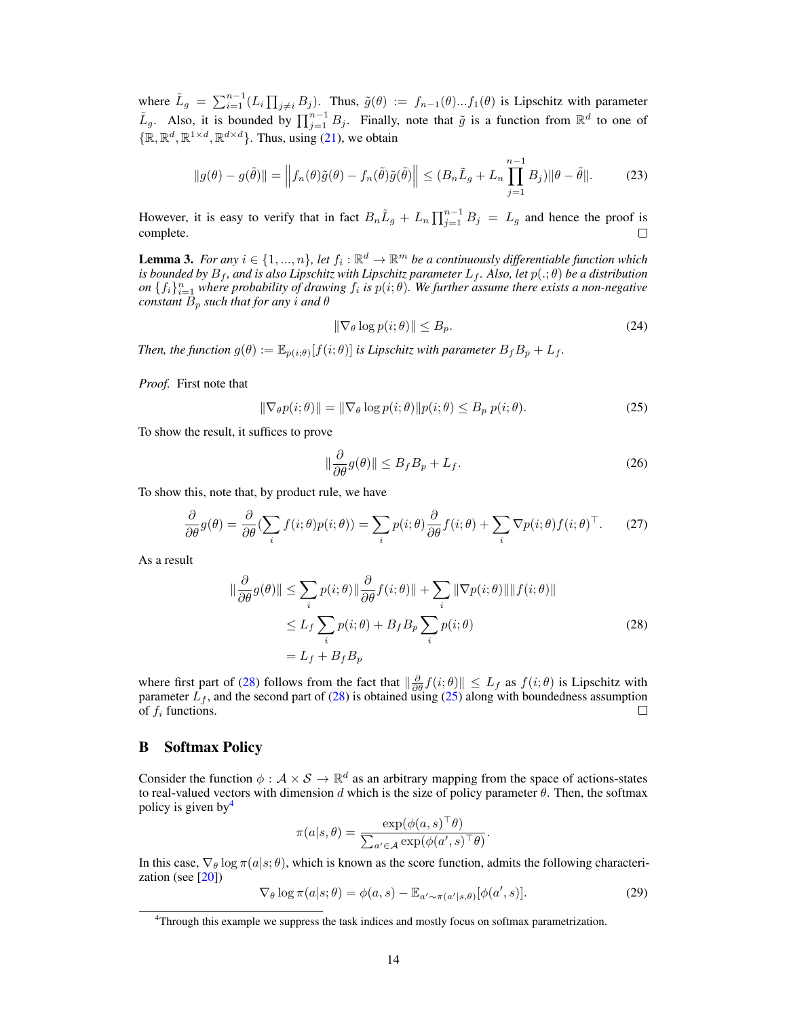where  $\tilde{L}_g = \sum_{i=1}^{n-1} (L_i \prod_{j \neq i} B_j)$ . Thus,  $\tilde{g}(\theta) := f_{n-1}(\theta) ... f_1(\theta)$  is Lipschitz with parameter  $\tilde{L}_g$ . Also, it is bounded by  $\prod_{j=1}^{n-1} B_j$ . Finally, note that  $\tilde{g}$  is a function from  $\mathbb{R}^d$  to one of  $\{\mathbb{R}, \mathbb{R}^d, \mathbb{R}^{1 \times d}, \mathbb{R}^{d \times d}\}$ . Thus, using [\(21\)](#page-12-3), we obtain

$$
||g(\theta) - g(\tilde{\theta})|| = \left||f_n(\theta)\tilde{g}(\theta) - f_n(\tilde{\theta})\tilde{g}(\tilde{\theta})\right|| \le (B_n \tilde{L}_g + L_n \prod_{j=1}^{n-1} B_j) ||\theta - \tilde{\theta}||. \tag{23}
$$

However, it is easy to verify that in fact  $B_n\tilde{L}_g + L_n\prod_{j=1}^{n-1}B_j = L_g$  and hence the proof is complete.

<span id="page-13-5"></span>**Lemma 3.** For any  $i \in \{1, ..., n\}$ , let  $f_i : \mathbb{R}^d \to \mathbb{R}^m$  be a continuously differentiable function which  $i$ s bounded by  $B_f$ , and is also Lipschitz with Lipschitz parameter  $L_f$ . Also, let  $p( . ; \theta)$  be a distribution  $\{f_i\}_{i=1}^n$  where probability of drawing  $f_i$  is  $p(i; \theta)$ . We further assume there exists a non-negative *constant*  $B_p$  *such that for any i and*  $\theta$ 

$$
\|\nabla_{\theta}\log p(i;\theta)\| \le B_p. \tag{24}
$$

*Then, the function*  $g(\theta) := \mathbb{E}_{p(i;\theta)}[f(i;\theta)]$  *is Lipschitz with parameter*  $B_f B_p + L_f$ *.* 

*Proof.* First note that

<span id="page-13-2"></span>
$$
\|\nabla_{\theta}p(i;\theta)\| = \|\nabla_{\theta}\log p(i;\theta)\|p(i;\theta) \le B_p\ p(i;\theta). \tag{25}
$$

To show the result, it suffices to prove

$$
\|\frac{\partial}{\partial \theta}g(\theta)\| \le B_f B_p + L_f.
$$
\n(26)

To show this, note that, by product rule, we have

$$
\frac{\partial}{\partial \theta}g(\theta) = \frac{\partial}{\partial \theta} \left(\sum_{i} f(i;\theta)p(i;\theta)\right) = \sum_{i} p(i;\theta) \frac{\partial}{\partial \theta} f(i;\theta) + \sum_{i} \nabla p(i;\theta) f(i;\theta)^{\top}.
$$
 (27)

As a result

$$
\|\frac{\partial}{\partial \theta}g(\theta)\| \leq \sum_{i} p(i;\theta) \|\frac{\partial}{\partial \theta}f(i;\theta)\| + \sum_{i} \|\nabla p(i;\theta)\| \|f(i;\theta)\|
$$
  

$$
\leq L_f \sum_{i} p(i;\theta) + B_f B_p \sum_{i} p(i;\theta)
$$
  

$$
= L_f + B_f B_p
$$
 (28)

where first part of [\(28\)](#page-13-1) follows from the fact that  $\left\|\frac{\partial}{\partial \theta} f(i; \theta)\right\| \leq L_f$  as  $f(i; \theta)$  is Lipschitz with parameter  $L_f$ , and the second part of [\(28\)](#page-13-1) is obtained using [\(25\)](#page-13-2) along with boundedness assumption of  $f_i$  functions. П

## <span id="page-13-0"></span>B Softmax Policy

Consider the function  $\phi : \mathcal{A} \times \mathcal{S} \to \mathbb{R}^d$  as an arbitrary mapping from the space of actions-states to real-valued vectors with dimension d which is the size of policy parameter  $\theta$ . Then, the softmax policy is given by  $4$ 

$$
\pi(a|s,\theta) = \frac{\exp(\phi(a,s)^{\top}\theta)}{\sum_{a'\in\mathcal{A}}\exp(\phi(a',s)^{\top}\theta)}
$$

In this case,  $\nabla_{\theta} \log \pi(a|s; \theta)$ , which is known as the score function, admits the following characterization (see [\[20\]](#page-10-8))

<span id="page-13-4"></span>
$$
\nabla_{\theta} \log \pi(a|s; \theta) = \phi(a, s) - \mathbb{E}_{a' \sim \pi(a'|s, \theta)}[\phi(a', s)]. \tag{29}
$$

<span id="page-13-1"></span>.

<span id="page-13-3"></span><sup>&</sup>lt;sup>4</sup>Through this example we suppress the task indices and mostly focus on softmax parametrization.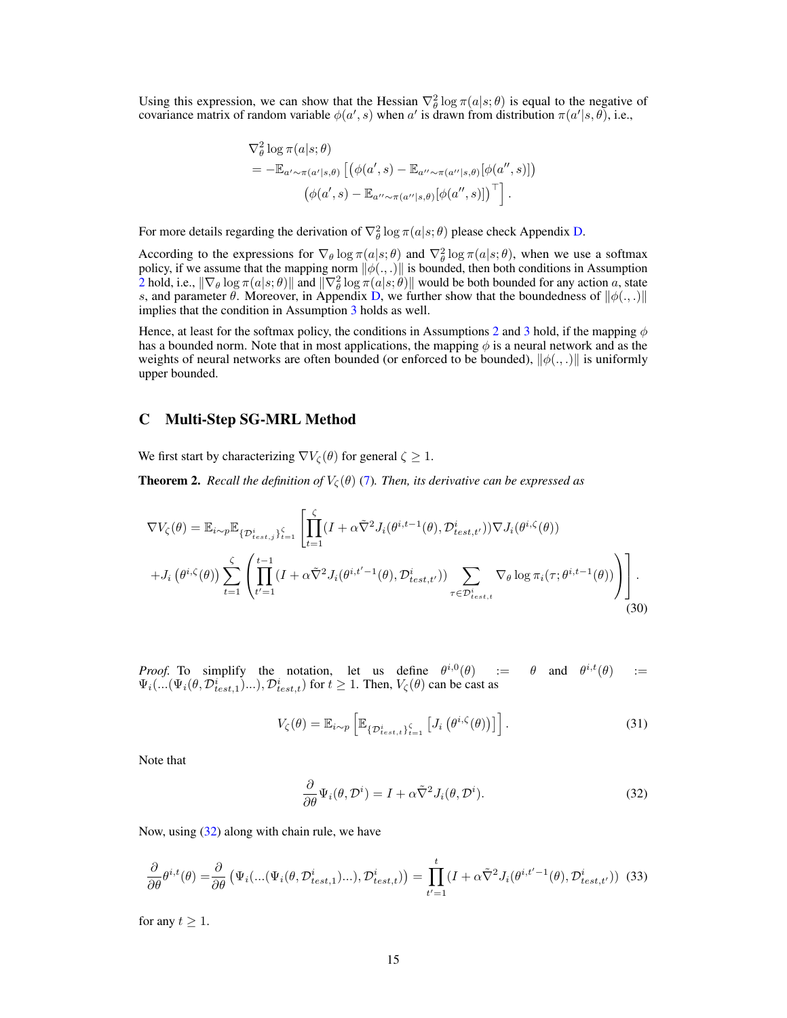Using this expression, we can show that the Hessian  $\nabla_{\theta}^2 \log \pi(a|s;\theta)$  is equal to the negative of covariance matrix of random variable  $\phi(a', s)$  when a' is drawn from distribution  $\pi(a'|s, \theta)$ , i.e.,

$$
\nabla_{\theta}^{2} \log \pi(a|s;\theta)
$$
  
=  $-\mathbb{E}_{a' \sim \pi(a'|s,\theta)} [(\phi(a',s) - \mathbb{E}_{a'' \sim \pi(a''|s,\theta)}[\phi(a'',s)])$   

$$
(\phi(a',s) - \mathbb{E}_{a'' \sim \pi(a''|s,\theta)}[\phi(a'',s)])^{\top}].
$$

For more details regarding the derivation of  $\nabla_{\theta}^2 \log \pi(a|s;\theta)$  please check Appendix [D.](#page-16-0)

According to the expressions for  $\nabla_{\theta} \log \pi(a|s;\theta)$  and  $\nabla_{\theta}^2 \log \pi(a|s;\theta)$ , when we use a softmax policy, if we assume that the mapping norm  $\|\phi(.,.)\|$  is bounded, then both conditions in Assumption [2](#page-6-0) hold, i.e.,  $\|\nabla_\theta \log \pi(a|s;\theta)\|$  and  $\|\nabla^2_\theta \log \pi(a|s;\theta)\|$  would be both bounded for any action a, state s, and parameter  $\theta$ . Moreover, in Appendix [D,](#page-16-0) we further show that the boundedness of  $\|\phi(.,.)\|$ implies that the condition in Assumption [3](#page-6-1) holds as well.

Hence, at least for the softmax policy, the conditions in Assumptions [2](#page-6-0) and [3](#page-6-1) hold, if the mapping  $\phi$ has a bounded norm. Note that in most applications, the mapping  $\phi$  is a neural network and as the weights of neural networks are often bounded (or enforced to be bounded),  $\|\phi(x,.)\|$  is uniformly upper bounded.

## <span id="page-14-0"></span>C Multi-Step SG-MRL Method

We first start by characterizing  $\nabla V_{\zeta}(\theta)$  for general  $\zeta \geq 1$ .

**Theorem 2.** *Recall the definition of*  $V_{\zeta}(\theta)$  [\(7\)](#page-3-2)*. Then, its derivative can be expressed as* 

$$
\nabla V_{\zeta}(\theta) = \mathbb{E}_{i \sim p} \mathbb{E}_{\{\mathcal{D}_{test,j}^i\}_{i=1}^{\zeta}} \left[ \prod_{t=1}^{\zeta} (I + \alpha \tilde{\nabla}^2 J_i(\theta^{i,t-1}(\theta), \mathcal{D}_{test,t'}^i)) \nabla J_i(\theta^{i,\zeta}(\theta)) + J_i(\theta^{i,\zeta}(\theta)) \sum_{t=1}^{\zeta} \left( \prod_{t'=1}^{t-1} (I + \alpha \tilde{\nabla}^2 J_i(\theta^{i,t'-1}(\theta), \mathcal{D}_{test,t'}^i)) \sum_{\tau \in \mathcal{D}_{test,t}^i} \nabla_{\theta} \log \pi_i(\tau; \theta^{i,t-1}(\theta)) \right) \right].
$$
\n(30)

*Proof.* To simplify the notation, let us define  $\theta^{i,0}(\theta) := \theta$  and  $\theta^{i,t}(\theta) :=$  $\Psi_i(...(\Psi_i(\theta, \mathcal{D}_{test,1}^i)...), \mathcal{D}_{test,t}^i)$  for  $t \ge 1$ . Then,  $V_{\zeta}(\theta)$  can be cast as

$$
V_{\zeta}(\theta) = \mathbb{E}_{i \sim p} \left[ \mathbb{E}_{\{\mathcal{D}_{test,t}^i\}_{t=1}^{\zeta}} \left[ J_i \left( \theta^{i,\zeta}(\theta) \right) \right] \right]. \tag{31}
$$

<span id="page-14-1"></span>Note that

<span id="page-14-2"></span>
$$
\frac{\partial}{\partial \theta} \Psi_i(\theta, \mathcal{D}^i) = I + \alpha \tilde{\nabla}^2 J_i(\theta, \mathcal{D}^i).
$$
 (32)

Now, using [\(32\)](#page-14-1) along with chain rule, we have

$$
\frac{\partial}{\partial \theta} \theta^{i,t}(\theta) = \frac{\partial}{\partial \theta} \left( \Psi_i(...(\Psi_i(\theta, \mathcal{D}_{test,1}^i)...), \mathcal{D}_{test,t}^i) \right) = \prod_{t'=1}^t (I + \alpha \tilde{\nabla}^2 J_i(\theta^{i,t'-1}(\theta), \mathcal{D}_{test,t'}^i))
$$
(33)

for any  $t \geq 1$ .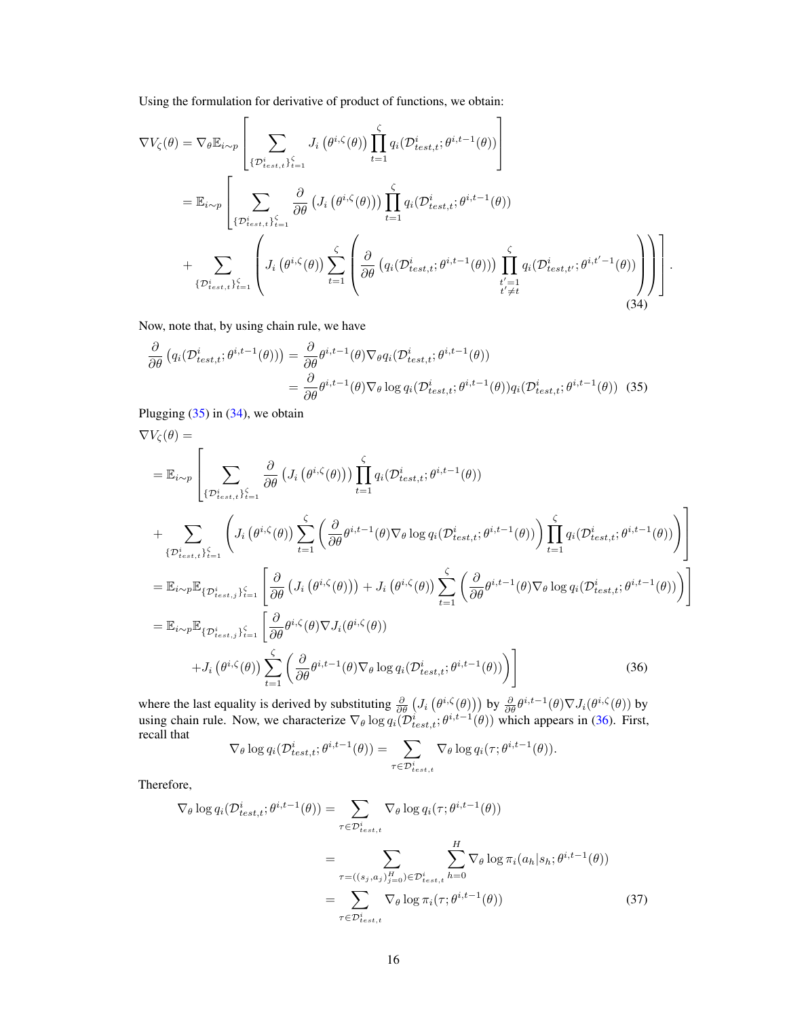Using the formulation for derivative of product of functions, we obtain:

$$
\nabla V_{\zeta}(\theta) = \nabla_{\theta} \mathbb{E}_{i \sim p} \left[ \sum_{\{\mathcal{D}_{test,t}^i\}_{i=1}^{\zeta} } J_i(\theta^{i,\zeta}(\theta)) \prod_{t=1}^{\zeta} q_i(\mathcal{D}_{test,t}^i; \theta^{i,t-1}(\theta)) \right]
$$
  
\n
$$
= \mathbb{E}_{i \sim p} \left[ \sum_{\{\mathcal{D}_{test,t}^i\}_{i=1}^{\zeta} } \frac{\partial}{\partial \theta} \left( J_i(\theta^{i,\zeta}(\theta)) \right) \prod_{t=1}^{\zeta} q_i(\mathcal{D}_{test,t}^i; \theta^{i,t-1}(\theta)) \right]
$$
  
\n
$$
+ \sum_{\{\mathcal{D}_{test,t}^i\}_{i=1}^{\zeta} } \left( J_i(\theta^{i,\zeta}(\theta)) \sum_{t=1}^{\zeta} \left( \frac{\partial}{\partial \theta} \left( q_i(\mathcal{D}_{test,t}^i; \theta^{i,t-1}(\theta)) \right) \prod_{\substack{t'=1 \\ t' \neq t}}^{\zeta} q_i(\mathcal{D}_{test,t'}^i; \theta^{i,t'-1}(\theta)) \right) \right).
$$
(34)

<span id="page-15-1"></span><span id="page-15-0"></span> $\overline{1}$ 

Now, note that, by using chain rule, we have

$$
\frac{\partial}{\partial \theta} \left( q_i(\mathcal{D}_{test,t}^i; \theta^{i,t-1}(\theta)) \right) = \frac{\partial}{\partial \theta} \theta^{i,t-1}(\theta) \nabla_{\theta} q_i(\mathcal{D}_{test,t}^i; \theta^{i,t-1}(\theta)) \n= \frac{\partial}{\partial \theta} \theta^{i,t-1}(\theta) \nabla_{\theta} \log q_i(\mathcal{D}_{test,t}^i; \theta^{i,t-1}(\theta)) q_i(\mathcal{D}_{test,t}^i; \theta^{i,t-1}(\theta))
$$
\n(35)

Plugging  $(35)$  in  $(34)$ , we obtain

$$
\nabla V_{\zeta}(\theta) =\n= \mathbb{E}_{i \sim p} \left[ \sum_{\{\mathcal{D}_{test,t}^i\}_{i=1}^{\zeta} } \frac{\partial}{\partial \theta} \left( J_i \left( \theta^{i,\zeta}(\theta) \right) \right) \prod_{t=1}^{\zeta} q_i(\mathcal{D}_{test,t}^i; \theta^{i,t-1}(\theta)) \right. \\
\left. + \sum_{\{\mathcal{D}_{test,t}^i\}_{i=1}^{\zeta} } \left( J_i \left( \theta^{i,\zeta}(\theta) \right) \sum_{t=1}^{\zeta} \left( \frac{\partial}{\partial \theta} \theta^{i,t-1}(\theta) \nabla_{\theta} \log q_i(\mathcal{D}_{test,t}^i; \theta^{i,t-1}(\theta)) \right) \prod_{t=1}^{\zeta} q_i(\mathcal{D}_{test,t}^i; \theta^{i,t-1}(\theta)) \right) \right]
$$
\n
$$
= \mathbb{E}_{i \sim p} \mathbb{E}_{\{\mathcal{D}_{test,j}^i\}_{i=1}^{\zeta}} \left[ \frac{\partial}{\partial \theta} \left( J_i \left( \theta^{i,\zeta}(\theta) \right) \right) + J_i \left( \theta^{i,\zeta}(\theta) \right) \sum_{t=1}^{\zeta} \left( \frac{\partial}{\partial \theta} \theta^{i,t-1}(\theta) \nabla_{\theta} \log q_i(\mathcal{D}_{test,t}^i; \theta^{i,t-1}(\theta)) \right) \right]
$$
\n
$$
= \mathbb{E}_{i \sim p} \mathbb{E}_{\{\mathcal{D}_{test,j}^i\}_{i=1}^{\zeta}} \left[ \frac{\partial}{\partial \theta} \theta^{i,\zeta}(\theta) \nabla J_i(\theta^{i,\zeta}(\theta)) \right.
$$
\n
$$
+ J_i \left( \theta^{i,\zeta}(\theta) \right) \sum_{t=1}^{\zeta} \left( \frac{\partial}{\partial \theta} \theta^{i,t-1}(\theta) \nabla_{\theta} \log q_i(\mathcal{D}_{test,t}^i; \theta^{i,t-1}(\theta)) \right) \right]
$$
\n(36)

where the last equality is derived by substituting  $\frac{\partial}{\partial \theta} (J_i (\theta^{i,\zeta}(\theta)))$  by  $\frac{\partial}{\partial \theta} \theta^{i,t-1}(\theta) \nabla J_i (\theta^{i,\zeta}(\theta))$  by using chain rule. Now, we characterize  $\nabla_{\theta} \log q_i(\mathcal{D}_{test,t}^i; \theta^{i,t-1}(\theta))$  which appears in [\(36\)](#page-15-2). First, recall that

<span id="page-15-3"></span><span id="page-15-2"></span>
$$
\nabla_{\theta} \log q_i(\mathcal{D}_{test,t}^i; \theta^{i,t-1}(\theta)) = \sum_{\tau \in \mathcal{D}_{test,t}^i} \nabla_{\theta} \log q_i(\tau; \theta^{i,t-1}(\theta)).
$$

Therefore,

$$
\nabla_{\theta} \log q_i(\mathcal{D}_{test,t}^{i}; \theta^{i,t-1}(\theta)) = \sum_{\tau \in \mathcal{D}_{test,t}^{i}} \nabla_{\theta} \log q_i(\tau; \theta^{i,t-1}(\theta))
$$

$$
= \sum_{\tau = ((s_j, a_j)_{j=0}^{H}) \in \mathcal{D}_{test,t}^{i}} \sum_{h=0}^{H} \nabla_{\theta} \log \pi_i(a_h|s_h; \theta^{i,t-1}(\theta))
$$

$$
= \sum_{\tau \in \mathcal{D}_{test,t}^{i}} \nabla_{\theta} \log \pi_i(\tau; \theta^{i,t-1}(\theta))
$$
(37)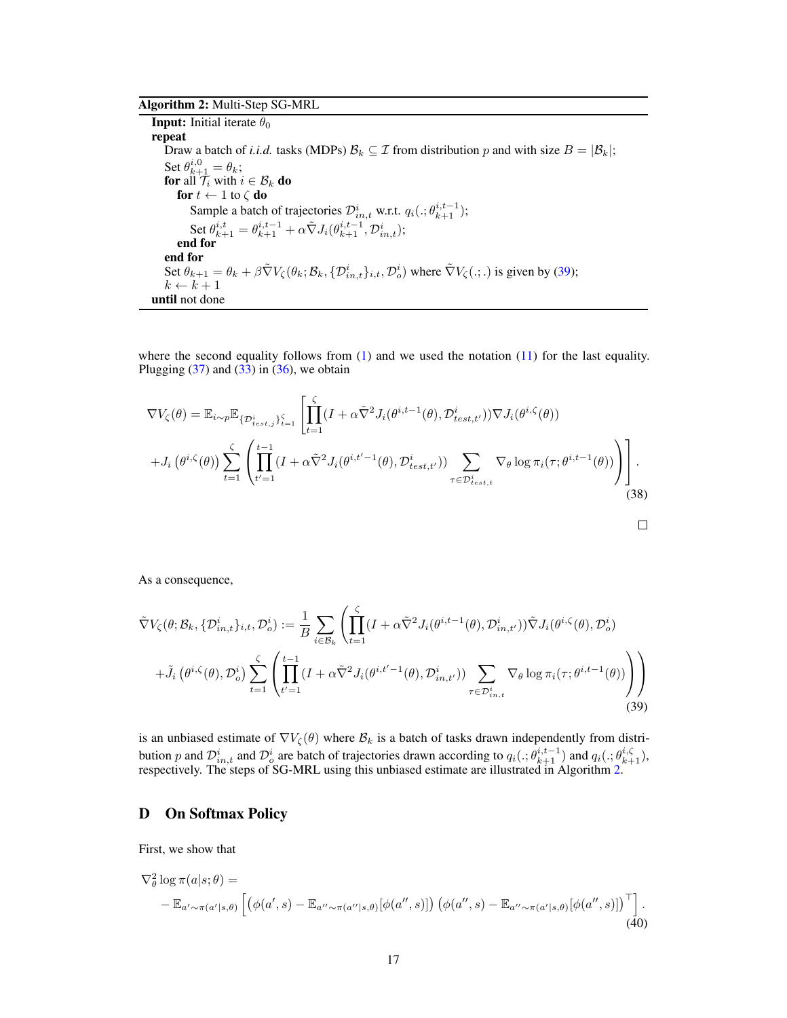# Algorithm 2: Multi-Step SG-MRL

<span id="page-16-2"></span>**Input:** Initial iterate  $\theta_0$ repeat Draw a batch of *i.i.d.* tasks (MDPs)  $\mathcal{B}_k \subseteq \mathcal{I}$  from distribution p and with size  $B = |\mathcal{B}_k|$ ; Set  $\theta_{k+1}^{i,0} = \theta_k$ ; for all  $\mathcal{T}_i$  with  $i \in \mathcal{B}_k$  do for  $t \leftarrow 1$  to  $\zeta$  do Sample a batch of trajectories  $\mathcal{D}_{in,t}^i$  w.r.t.  $q_i(.; \theta_{k+1}^{i,t-1});$ Set  $\theta^{i,t}_{k+1} = \theta^{i,t-1}_{k+1} + \alpha \tilde{\nabla} J_i(\theta^{i,t-1}_{k+1}, \mathcal{D}^i_{in,t});$ end for end for Set  $\theta_{k+1} = \theta_k + \beta \tilde{\nabla} V_{\zeta}(\theta_k; \mathcal{B}_k, \{ \mathcal{D}_{in,t}^i \}_{i,t}, \mathcal{D}_o^i)$  where  $\tilde{\nabla} V_{\zeta}(.; .)$  is given by [\(39\)](#page-16-1);  $k \leftarrow k + 1$ until not done

where the second equality follows from  $(1)$  and we used the notation  $(11)$  for the last equality. Plugging  $(37)$  and  $(33)$  in  $(36)$ , we obtain

$$
\nabla V_{\zeta}(\theta) = \mathbb{E}_{i \sim p} \mathbb{E}_{\{\mathcal{D}_{test,j}^i\}_{i=1}^{\zeta}} \left[ \prod_{t=1}^{\zeta} (I + \alpha \tilde{\nabla}^2 J_i(\theta^{i,t-1}(\theta), \mathcal{D}_{test,t'}^i)) \nabla J_i(\theta^{i,\zeta}(\theta)) \right] + J_i(\theta^{i,\zeta}(\theta)) \sum_{t=1}^{\zeta} \left( \prod_{t'=1}^{t-1} (I + \alpha \tilde{\nabla}^2 J_i(\theta^{i,t'-1}(\theta), \mathcal{D}_{test,t'}^i)) \sum_{\tau \in \mathcal{D}_{test,t}^i} \nabla_{\theta} \log \pi_i(\tau; \theta^{i,t-1}(\theta)) \right) \right].
$$
\n(38)

<span id="page-16-1"></span>
$$
\qquad \qquad \Box
$$

As a consequence,

$$
\tilde{\nabla}V_{\zeta}(\theta;\mathcal{B}_{k},\{\mathcal{D}_{in,t}^{i}\}_{i,t},\mathcal{D}_{o}^{i}) := \frac{1}{B} \sum_{i \in \mathcal{B}_{k}} \left( \prod_{t=1}^{\zeta} (I + \alpha \tilde{\nabla}^{2} J_{i}(\theta^{i,t-1}(\theta), \mathcal{D}_{in,t'}^{i})) \tilde{\nabla} J_{i}(\theta^{i,\zeta}(\theta), \mathcal{D}_{o}^{i}) + \tilde{J}_{i}(\theta^{i,\zeta}(\theta), \mathcal{D}_{o}^{i}) \sum_{t=1}^{\zeta} \left( \prod_{t'=1}^{t-1} (I + \alpha \tilde{\nabla}^{2} J_{i}(\theta^{i,t'-1}(\theta), \mathcal{D}_{in,t'}^{i})) \sum_{\tau \in \mathcal{D}_{in,t}^{i}} \nabla_{\theta} \log \pi_{i}(\tau; \theta^{i,t-1}(\theta)) \right) \right)
$$
\n(39)

is an unbiased estimate of  $\nabla V_{\zeta}(\theta)$  where  $\mathcal{B}_k$  is a batch of tasks drawn independently from distribution p and  $\mathcal{D}_{i,n,t}^{i}$  and  $\mathcal{D}_{o}^{i}$  are batch of trajectories drawn according to  $q_i(.; \theta_{k+1}^{i,t-1})$  and  $q_i(.; \theta_{k+1}^{i,\zeta})$ , respectively. The steps of SG-MRL using this unbiased estimate are illustrated in Algorithm [2.](#page-16-2)

## <span id="page-16-0"></span>D On Softmax Policy

<span id="page-16-3"></span>First, we show that

$$
\nabla_{\theta}^{2} \log \pi(a|s;\theta) =
$$
  
-  $\mathbb{E}_{a' \sim \pi(a'|s,\theta)} \left[ \left( \phi(a',s) - \mathbb{E}_{a'' \sim \pi(a''|s,\theta)} [\phi(a'',s)] \right) \left( \phi(a'',s) - \mathbb{E}_{a'' \sim \pi(a'|s,\theta)} [\phi(a'',s)] \right)^{\top} \right].$  (40)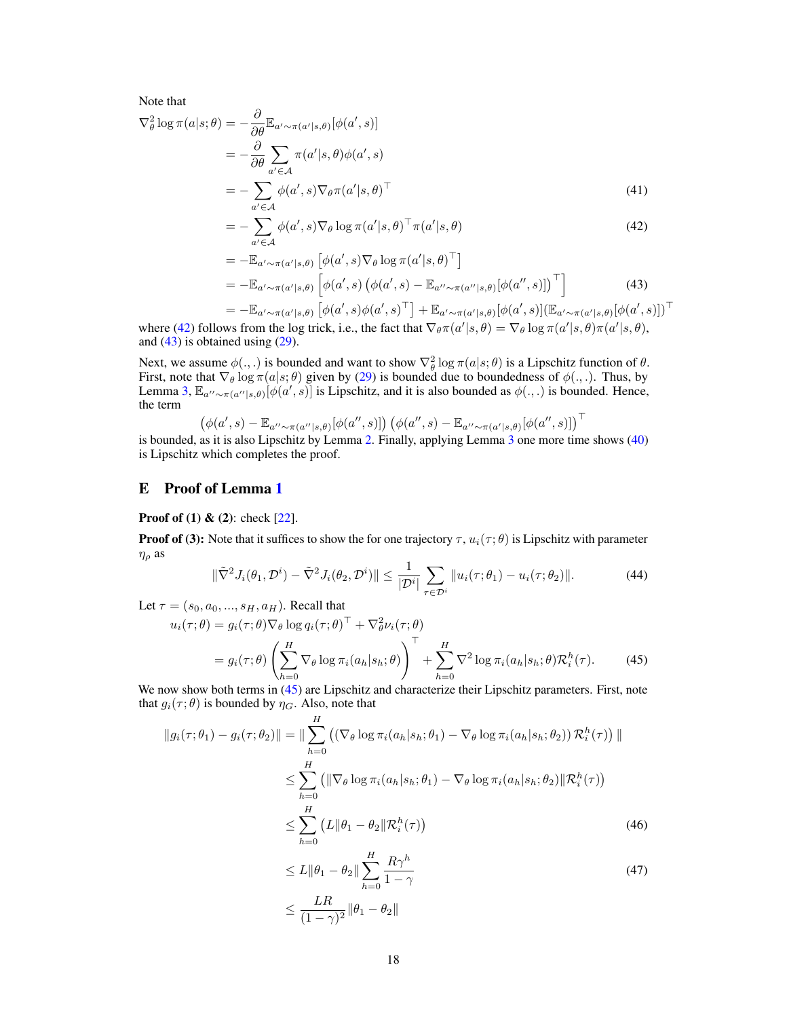Note that

$$
\nabla_{\theta}^{2} \log \pi(a|s; \theta) = -\frac{\partial}{\partial \theta} \mathbb{E}_{a' \sim \pi(a'|s, \theta)} [\phi(a', s)]
$$
  
= 
$$
-\frac{\partial}{\partial \theta} \sum_{a' \in \mathcal{A}} \pi(a'|s, \theta) \phi(a', s)
$$
  
= 
$$
-\sum_{a' \in \mathcal{A}} \phi(a', s) \nabla_{\theta} \pi(a'|s, \theta)^{\top}
$$
(41)

<span id="page-17-0"></span>
$$
= -\sum_{a'\in\mathcal{A}} \phi(a',s) \nabla_{\theta} \log \pi(a'|s,\theta)^\top \pi(a'|s,\theta)
$$
\n(42)

<span id="page-17-1"></span>
$$
= -\mathbb{E}_{a' \sim \pi(a'|s,\theta)} \left[ \phi(a',s) \nabla_{\theta} \log \pi(a'|s,\theta)^{\top} \right]
$$
  

$$
= -\mathbb{E}_{a' \sim \pi(a'|s,\theta)} \left[ \phi(a',s) \left( \phi(a',s) - \mathbb{E}_{a'' \sim \pi(a''|s,\theta)} [\phi(a'',s)] \right)^{\top} \right]
$$
(43)

$$
= -\mathbb{E}_{a'\sim\pi(a'|s,\theta)} \left[ \phi(a',s)\phi(a',s)^{\top} \right] + \mathbb{E}_{a'\sim\pi(a'|s,\theta)} [\phi(a',s)] (\mathbb{E}_{a'\sim\pi(a'|s,\theta)}[\phi(a',s)])^{\top}
$$
  
where (42) follows from the log trick, i.e., the fact that  $\nabla_{\theta}\pi(a'|s,\theta) = \nabla_{\theta}\log \pi(a'|s,\theta)\pi(a'|s,\theta),$ 

and  $(43)$  is obtained using  $(29)$ .

Next, we assume  $\phi(.,.)$  is bounded and want to show  $\nabla^2_{\theta} \log \pi(a|s;\theta)$  is a Lipschitz function of  $\theta$ . First, note that  $\nabla_{\theta} \log \pi(a|s; \theta)$  given by [\(29\)](#page-13-4) is bounded due to boundedness of  $\phi(.,.)$ . Thus, by Lemma [3,](#page-13-5)  $\mathbb{E}_{a'' \sim \pi(a''|s,\theta)}[\phi(a',s)]$  is Lipschitz, and it is also bounded as  $\phi(.,.)$  is bounded. Hence, the term

$$
\left(\phi(a',s)-\mathbb{E}_{a''\sim\pi(a''|s,\theta)}[\phi(a'',s)]\right)\left(\phi(a'',s)-\mathbb{E}_{a''\sim\pi(a'|s,\theta)}[\phi(a'',s)]\right)^\top
$$

is bounded, as it is also Lipschitz by Lemma [2.](#page-12-4) Finally, applying Lemma [3](#page-13-5) one more time shows [\(40\)](#page-16-3) is Lipschitz which completes the proof.

# E Proof of Lemma [1](#page-6-3)

**Proof of (1) & (2):** check  $[22]$ .

**Proof of (3):** Note that it suffices to show the for one trajectory  $\tau$ ,  $u_i(\tau;\theta)$  is Lipschitz with parameter  $\eta_\rho$  as

$$
\|\tilde{\nabla}^2 J_i(\theta_1, \mathcal{D}^i) - \tilde{\nabla}^2 J_i(\theta_2, \mathcal{D}^i)\| \le \frac{1}{|\mathcal{D}^i|} \sum_{\tau \in \mathcal{D}^i} \|u_i(\tau; \theta_1) - u_i(\tau; \theta_2)\|.
$$
 (44)

Let  $\tau = (s_0, a_0, ..., s_H, a_H)$ . Recall that

$$
u_i(\tau;\theta) = g_i(\tau;\theta) \nabla_{\theta} \log q_i(\tau;\theta)^{\top} + \nabla_{\theta}^2 \nu_i(\tau;\theta)
$$
  
=  $g_i(\tau;\theta) \left( \sum_{h=0}^H \nabla_{\theta} \log \pi_i(a_h|s_h;\theta) \right)^{\top} + \sum_{h=0}^H \nabla^2 \log \pi_i(a_h|s_h;\theta) \mathcal{R}_i^h(\tau).$  (45)

We now show both terms in [\(45\)](#page-17-2) are Lipschitz and characterize their Lipschitz parameters. First, note that  $g_i(\tau; \theta)$  is bounded by  $\eta_G$ . Also, note that

$$
||g_i(\tau; \theta_1) - g_i(\tau; \theta_2)|| = || \sum_{h=0}^{H} \left( (\nabla_{\theta} \log \pi_i(a_h | s_h; \theta_1) - \nabla_{\theta} \log \pi_i(a_h | s_h; \theta_2)) \mathcal{R}_i^h(\tau) \right) ||
$$
  

$$
\leq \sum_{h=0}^{H} \left( || \nabla_{\theta} \log \pi_i(a_h | s_h; \theta_1) - \nabla_{\theta} \log \pi_i(a_h | s_h; \theta_2) || \mathcal{R}_i^h(\tau) \right)
$$
  

$$
\leq \sum_{h=0}^{H} \left( L || \theta_1 - \theta_2 || \mathcal{R}_i^h(\tau) \right)
$$
(46)

<span id="page-17-4"></span><span id="page-17-3"></span><span id="page-17-2"></span>
$$
\leq L \|\theta_1 - \theta_2\| \sum_{h=0}^{H} \frac{R\gamma^h}{1 - \gamma}
$$
\n
$$
\leq \frac{LR}{(1 - \gamma)^2} \|\theta_1 - \theta_2\|
$$
\n(47)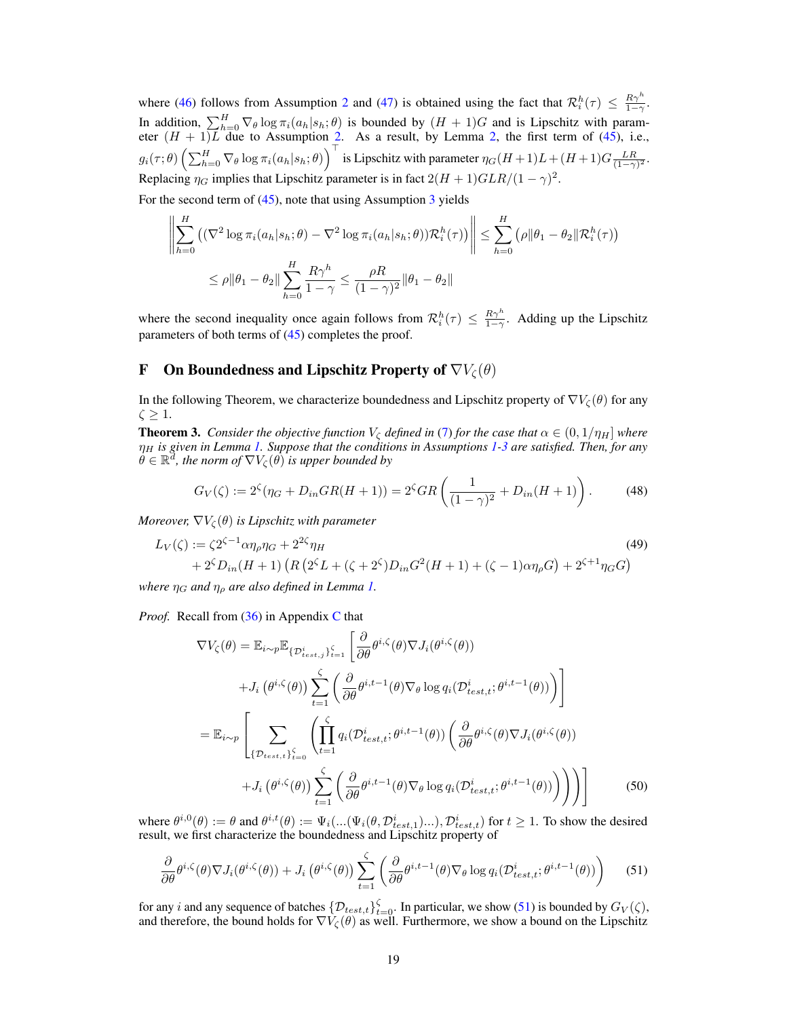where [\(46\)](#page-17-3) follows from Assumption [2](#page-6-0) and [\(47\)](#page-17-4) is obtained using the fact that  $\mathcal{R}_i^h(\tau) \leq \frac{R\gamma^h}{1-\gamma}$ . In addition,  $\sum_{h=0}^{H} \nabla_{\theta} \log \pi_i(a_h|s_h;\theta)$  is bounded by  $(H + 1)G$  and is Lipschitz with parameter  $(H + 1)L$  due to Assumption [2.](#page-6-0) As a result, by Lemma [2,](#page-12-4) the first term of [\(45\)](#page-17-2), i.e.,  $g_i(\tau; \theta) \left( \sum_{h=0}^H \nabla_\theta \log \pi_i(a_h|s_h;\theta) \right)^\top$  is Lipschitz with parameter  $\eta_G(H+1)L + (H+1)G\frac{LR}{(1-\gamma)^2}$ . Replacing  $\eta_G$  implies that Lipschitz parameter is in fact  $2(H + 1)GLR/(1 - \gamma)^2$ .

For the second term of  $(45)$ , note that using Assumption [3](#page-6-1) yields

$$
\left\| \sum_{h=0}^{H} \left( (\nabla^2 \log \pi_i(a_h | s_h; \theta) - \nabla^2 \log \pi_i(a_h | s_h; \theta) ) \mathcal{R}_i^h(\tau) \right) \right\| \leq \sum_{h=0}^{H} (\rho \|\theta_1 - \theta_2\| \mathcal{R}_i^h(\tau))
$$
  

$$
\leq \rho \|\theta_1 - \theta_2\| \sum_{h=0}^{H} \frac{R \gamma^h}{1 - \gamma} \leq \frac{\rho R}{(1 - \gamma)^2} \|\theta_1 - \theta_2\|
$$

where the second inequality once again follows from  $\mathcal{R}_i^h(\tau) \leq \frac{R\gamma^h}{1-\gamma}$ . Adding up the Lipschitz parameters of both terms of [\(45\)](#page-17-2) completes the proof.

# <span id="page-18-0"></span>**F** On Boundedness and Lipschitz Property of  $\nabla V_{\zeta}(\theta)$

In the following Theorem, we characterize boundedness and Lipschitz property of  $\nabla V_{\zeta}(\theta)$  for any  $\zeta \geq 1$ .

<span id="page-18-1"></span>**Theorem 3.** *Consider the objective function*  $V_c$  *defined in* [\(7\)](#page-3-2) *for the case that*  $\alpha \in (0, 1/\eta_H]$  *where* η<sup>H</sup> *is given in Lemma [1.](#page-6-3) Suppose that the conditions in Assumptions [1](#page-6-2)[-3](#page-6-1) are satisfied. Then, for any*  $\hat{\theta} \in \mathbb{R}^d$ , the norm of  $\nabla V_{\zeta}(\hat{\theta})$  is upper bounded by

<span id="page-18-4"></span><span id="page-18-3"></span>
$$
G_V(\zeta) := 2^{\zeta} (\eta_G + D_{in}GR(H+1)) = 2^{\zeta} GR \left( \frac{1}{(1-\gamma)^2} + D_{in}(H+1) \right). \tag{48}
$$

*Moreover,*  $\nabla V_{\zeta}(\theta)$  *is Lipschitz with parameter* 

$$
L_V(\zeta) := \zeta 2^{\zeta - 1} \alpha \eta_\rho \eta_G + 2^{2\zeta} \eta_H
$$
\n
$$
+ 2^{\zeta} D_{in}(H+1) \left( R \left( 2^{\zeta} L + (\zeta + 2^{\zeta}) D_{in} G^2(H+1) + (\zeta - 1) \alpha \eta_\rho G \right) + 2^{\zeta + 1} \eta_G G \right)
$$
\n(49)

*where*  $\eta_G$  *and*  $\eta_\rho$  *are also defined in Lemma [1.](#page-6-3)* 

*Proof.* Recall from [\(36\)](#page-15-2) in Appendix [C](#page-14-0) that

$$
\nabla V_{\zeta}(\theta) = \mathbb{E}_{i \sim p} \mathbb{E}_{\{\mathcal{D}_{test,i}^i\}_{i=1}^{\zeta}} \left[ \frac{\partial}{\partial \theta} \theta^{i,\zeta}(\theta) \nabla J_i(\theta^{i,\zeta}(\theta)) \right.\n+ J_i(\theta^{i,\zeta}(\theta)) \sum_{t=1}^{\zeta} \left( \frac{\partial}{\partial \theta} \theta^{i,t-1}(\theta) \nabla_{\theta} \log q_i(\mathcal{D}_{test,t}^i; \theta^{i,t-1}(\theta)) \right) \right]\n= \mathbb{E}_{i \sim p} \left[ \sum_{\{\mathcal{D}_{test,t}\}_{i=0}^{\zeta}} \left( \prod_{t=1}^{\zeta} q_i(\mathcal{D}_{test,t}^i; \theta^{i,t-1}(\theta)) \left( \frac{\partial}{\partial \theta} \theta^{i,\zeta}(\theta) \nabla J_i(\theta^{i,\zeta}(\theta)) \right. \right.\n+ J_i(\theta^{i,\zeta}(\theta)) \sum_{t=1}^{\zeta} \left( \frac{\partial}{\partial \theta} \theta^{i,t-1}(\theta) \nabla_{\theta} \log q_i(\mathcal{D}_{test,t}^i; \theta^{i,t-1}(\theta)) \right) \right) \right]
$$
(50)

where  $\theta^{i,0}(\theta) := \theta$  and  $\theta^{i,t}(\theta) := \Psi_i(...(\Psi_i(\theta, \mathcal{D}_{test,1}^i)...), \mathcal{D}_{test,t}^i)$  for  $t \ge 1$ . To show the desired result, we first characterize the boundedness and Lipschitz property of

<span id="page-18-2"></span>
$$
\frac{\partial}{\partial \theta} \theta^{i,\zeta}(\theta) \nabla J_i(\theta^{i,\zeta}(\theta)) + J_i(\theta^{i,\zeta}(\theta)) \sum_{t=1}^{\zeta} \left( \frac{\partial}{\partial \theta} \theta^{i,t-1}(\theta) \nabla_{\theta} \log q_i(\mathcal{D}_{test,t}^i; \theta^{i,t-1}(\theta)) \right) \tag{51}
$$

for any i and any sequence of batches  $\{D_{test,t}\}_{t=0}^{\zeta}$ . In particular, we show [\(51\)](#page-18-2) is bounded by  $G_V(\zeta)$ , and therefore, the bound holds for  $\nabla V_{\zeta}(\theta)$  as well. Furthermore, we show a bound on the Lipschitz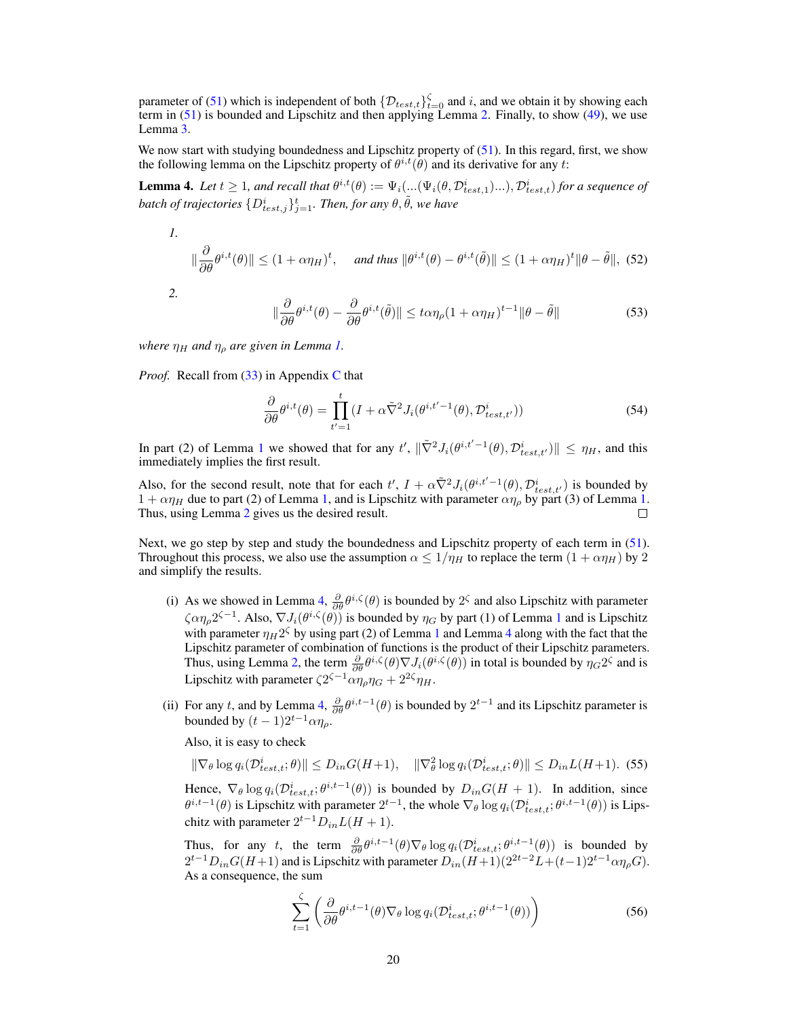parameter of [\(51\)](#page-18-2) which is independent of both  $\{\mathcal{D}_{test,t}\}_{t=0}^{\zeta}$  and i, and we obtain it by showing each term in  $(51)$  is bounded and Lipschitz and then applying Lemma [2.](#page-12-4) Finally, to show  $(49)$ , we use Lemma [3.](#page-13-5)

We now start with studying boundedness and Lipschitz property of  $(51)$ . In this regard, first, we show the following lemma on the Lipschitz property of  $\theta^{i,t}(\theta)$  and its derivative for any t:

<span id="page-19-0"></span>**Lemma 4.** Let  $t \ge 1$ , and recall that  $\theta^{i,t}(\theta) := \Psi_i(...(\Psi_i(\theta, \mathcal{D}_{test,1}^i)...), \mathcal{D}_{test,t}^i)$  for a sequence of batch of trajectories  $\{D_{test,j}^i\}_{j=1}^t$ . Then, for any  $\theta, \tilde{\theta}$ , we have

1.  
\n
$$
\|\frac{\partial}{\partial \theta}\theta^{i,t}(\theta)\| \le (1 + \alpha \eta_H)^t, \quad \text{and thus } \|\theta^{i,t}(\theta) - \theta^{i,t}(\tilde{\theta})\| \le (1 + \alpha \eta_H)^t \|\theta - \tilde{\theta}\|, \text{ (52)}
$$

*2.*

$$
\|\frac{\partial}{\partial \theta}\theta^{i,t}(\theta) - \frac{\partial}{\partial \theta}\theta^{i,t}(\tilde{\theta})\| \le t\alpha \eta_{\rho} (1 + \alpha \eta_{H})^{t-1} \|\theta - \tilde{\theta}\|
$$
 (53)

*where*  $\eta_H$  *and*  $\eta_\rho$  *are given in Lemma [1.](#page-6-3)* 

*Proof.* Recall from [\(33\)](#page-14-2) in Appendix [C](#page-14-0) that

$$
\frac{\partial}{\partial \theta} \theta^{i,t}(\theta) = \prod_{t'=1}^{t} (I + \alpha \tilde{\nabla}^2 J_i(\theta^{i,t'-1}(\theta), \mathcal{D}_{test,t'}^i))
$$
(54)

In part (2) of Lemma [1](#page-6-3) we showed that for any  $t'$ ,  $\|\tilde{\nabla}^2 J_i(\theta^{i,t'-1}(\theta), \mathcal{D}_{test,t'}^i)\| \leq \eta_H$ , and this immediately implies the first result.

Also, for the second result, note that for each  $t'$ ,  $I + \alpha \tilde{\nabla}^2 J_i(\theta^{i,t'-1}(\theta), \mathcal{D}_{test,t'}^i)$  is bounded by  $1 + \alpha \eta_H$  due to part (2) of Lemma [1,](#page-6-3) and is Lipschitz with parameter  $\alpha \eta_\rho$  by part (3) of Lemma [1.](#page-6-3) Thus, using Lemma [2](#page-12-4) gives us the desired result. П

Next, we go step by step and study the boundedness and Lipschitz property of each term in [\(51\)](#page-18-2). Throughout this process, we also use the assumption  $\alpha \leq 1/\eta_H$  to replace the term  $(1 + \alpha \eta_H)$  by 2 and simplify the results.

- (i) As we showed in Lemma [4,](#page-19-0)  $\frac{\partial}{\partial \theta} \theta^{i,\zeta}(\theta)$  is bounded by  $2^{\zeta}$  and also Lipschitz with parameter  $\zeta \alpha \eta_\rho 2^{\zeta - 1}$  $\zeta \alpha \eta_\rho 2^{\zeta - 1}$  $\zeta \alpha \eta_\rho 2^{\zeta - 1}$ . Also,  $\nabla J_i(\theta^{i,\zeta}(\theta))$  is bounded by  $\eta_G$  by part (1) of Lemma 1 and is Lipschitz with parameter  $\eta_H 2^{\zeta}$  by using part (2) of Lemma [1](#page-6-3) and Lemma [4](#page-19-0) along with the fact that the Lipschitz parameter of combination of functions is the product of their Lipschitz parameters. Thus, using Lemma [2,](#page-12-4) the term  $\frac{\partial}{\partial \theta} \theta^{i,\zeta}(\theta) \nabla J_i(\theta^{i,\zeta}(\theta))$  in total is bounded by  $\eta_G 2^{\zeta}$  and is Lipschitz with parameter  $\zeta 2^{\zeta - 1} \alpha \eta_\rho \eta_G + 2^{2\zeta} \eta_H$ .
- (ii) For any t, and by Lemma [4,](#page-19-0)  $\frac{\partial}{\partial \theta} \theta^{i,t-1}(\theta)$  is bounded by  $2^{t-1}$  and its Lipschitz parameter is bounded by  $(t-1)2^{t-1}\alpha\eta_{\rho}$ .

Also, it is easy to check

 $\|\nabla_{\theta}\log q_i(\mathcal{D}_{test,t}^i;\theta)\| \le D_{in}G(H+1), \quad \|\nabla_{\theta}^2\log q_i(\mathcal{D}_{test,t}^i;\theta)\| \le D_{in}L(H+1).$  (55)

Hence,  $\nabla_{\theta} \log q_i(\mathcal{D}_{test,t}^i; \theta^{i,t-1}(\theta))$  is bounded by  $D_{in}G(H + 1)$ . In addition, since  $\theta^{i,t-1}(\theta)$  is Lipschitz with parameter  $2^{t-1}$ , the whole  $\nabla_{\theta} \log q_i(\mathcal{D}_{test,t}^i; \theta^{i,t-1}(\theta))$  is Lipschitz with parameter  $2^{t-1}D_{in}L(H + 1)$ .

Thus, for any t, the term  $\frac{\partial}{\partial \theta} \theta^{i,t-1}(\theta) \nabla_{\theta} \log q_i(\mathcal{D}_{test,t}^i; \theta^{i,t-1}(\theta))$  is bounded by  $2^{t-1}D_{in}G(H+1)$  and is Lipschitz with parameter  $D_{in}(H+1)(2^{2t-2}L+(t-1)2^{t-1}\alpha\eta_{\rho}G)$ . As a consequence, the sum

$$
\sum_{t=1}^{\zeta} \left( \frac{\partial}{\partial \theta} \theta^{i,t-1}(\theta) \nabla_{\theta} \log q_i(\mathcal{D}_{test,t}^i; \theta^{i,t-1}(\theta)) \right) \tag{56}
$$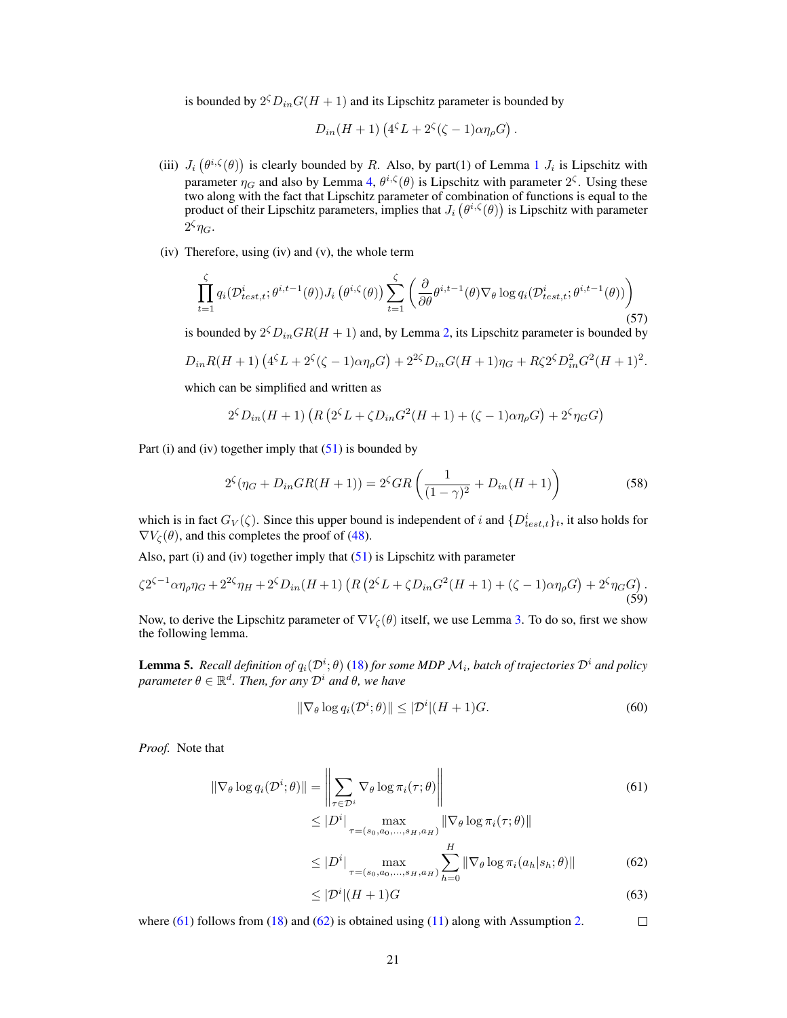is bounded by  $2^{\zeta} D_{in} G(H+1)$  and its Lipschitz parameter is bounded by

$$
D_{in}(H+1)\left(4^{\zeta}L+2^{\zeta}(\zeta-1)\alpha\eta_{\rho}G\right).
$$

- (iii)  $J_i(\theta^{i,\zeta}(\theta))$  is clearly bounded by R. Also, by part([1](#page-6-3)) of Lemma 1  $J_i$  is Lipschitz with parameter  $\eta_G$  and also by Lemma [4,](#page-19-0)  $\theta^{i,\zeta}(\theta)$  is Lipschitz with parameter  $2^{\zeta}$ . Using these two along with the fact that Lipschitz parameter of combination of functions is equal to the product of their Lipschitz parameters, implies that  $J_i(\theta^{i,\zeta}(\theta))$  is Lipschitz with parameter  $2^{\zeta}\eta_G$ .
- (iv) Therefore, using (iv) and (v), the whole term

$$
\prod_{t=1}^{\zeta} q_i(\mathcal{D}_{test,t}^i; \theta^{i,t-1}(\theta)) J_i\left(\theta^{i,\zeta}(\theta)\right) \sum_{t=1}^{\zeta} \left(\frac{\partial}{\partial \theta} \theta^{i,t-1}(\theta) \nabla_{\theta} \log q_i(\mathcal{D}_{test,t}^i; \theta^{i,t-1}(\theta))\right)
$$
\n(57)

is bounded by  $2 \zeta D_{in}GR(H+1)$  and, by Lemma [2,](#page-12-4) its Lipschitz parameter is bounded by

$$
D_{in}R(H+1)\left(4^{\zeta}L+2^{\zeta}(\zeta-1)\alpha\eta_{\rho}G\right)+2^{2\zeta}D_{in}G(H+1)\eta_{G}+R\zeta_{2}^{C}D_{in}^{2}G^{2}(H+1)^{2}.
$$

which can be simplified and written as

$$
2^{\zeta}D_{in}(H+1)\left(R\left(2^{\zeta}L+\zeta D_{in}G^2(H+1)+(\zeta-1)\alpha\eta_{\rho}G\right)+2^{\zeta}\eta_{G}G\right)
$$

Part (i) and (iv) together imply that  $(51)$  is bounded by

$$
2^{5}(\eta_{G} + D_{in}GR(H+1)) = 2^{5}GR\left(\frac{1}{(1-\gamma)^{2}} + D_{in}(H+1)\right)
$$
\n(58)

which is in fact  $G_V(\zeta)$ . Since this upper bound is independent of i and  $\{D_{test,t}^i\}_t$ , it also holds for  $\nabla V_{\zeta}(\theta)$ , and this completes the proof of [\(48\)](#page-18-4).

Also, part (i) and (iv) together imply that  $(51)$  is Lipschitz with parameter

$$
\zeta 2^{\zeta - 1} \alpha \eta_{\rho} \eta_G + 2^{2\zeta} \eta_H + 2^{\zeta} D_{in} (H+1) \left( R \left( 2^{\zeta} L + \zeta D_{in} G^2 (H+1) + (\zeta - 1) \alpha \eta_{\rho} G \right) + 2^{\zeta} \eta_G G \right). \tag{59}
$$

Now, to derive the Lipschitz parameter of  $\nabla V_{\mathcal{C}}(\theta)$  itself, we use Lemma [3.](#page-13-5) To do so, first we show the following lemma.

<span id="page-20-2"></span>**Lemma 5.** Recall definition of  $q_i(\mathcal{D}^i; \theta)$  [\(18\)](#page-12-1) for some MDP  $\mathcal{M}_i$ , batch of trajectories  $\mathcal{D}^i$  and policy  $\varphi$ *parameter*  $\theta \in \mathbb{R}^d$ *. Then, for any*  $\mathcal{D}^i$  *and*  $\theta$ *, we have* 

<span id="page-20-3"></span>
$$
\|\nabla_{\theta}\log q_i(\mathcal{D}^i;\theta)\| \le |\mathcal{D}^i|(H+1)G. \tag{60}
$$

*Proof.* Note that

$$
\|\nabla_{\theta}\log q_i(\mathcal{D}^i;\theta)\| = \left\|\sum_{\tau \in \mathcal{D}^i} \nabla_{\theta}\log \pi_i(\tau;\theta)\right\|
$$
\n(61)

<span id="page-20-0"></span>
$$
\leq |D^i| \max_{\tau = (s_0, a_0, \dots, s_H, a_H)} \|\nabla_\theta \log \pi_i(\tau; \theta)\|
$$
  

$$
\leq |D^i| \max_{\tau \in [0, \infty]} \sum_{i=1}^H \|\nabla_{\theta} \log \pi_i(\alpha_i | a_i; \theta)\|
$$
 (6)

<span id="page-20-1"></span>
$$
\leq |D^i| \max_{\tau = (s_0, a_0, ..., s_H, a_H)} \sum_{h=0} \|\nabla_{\theta} \log \pi_i(a_h|s_h; \theta)\| \tag{62}
$$

$$
\leq |\mathcal{D}^i|(H+1)G\tag{63}
$$

where  $(61)$  follows from  $(18)$  and  $(62)$  is obtained using  $(11)$  along with Assumption [2.](#page-6-0)  $\Box$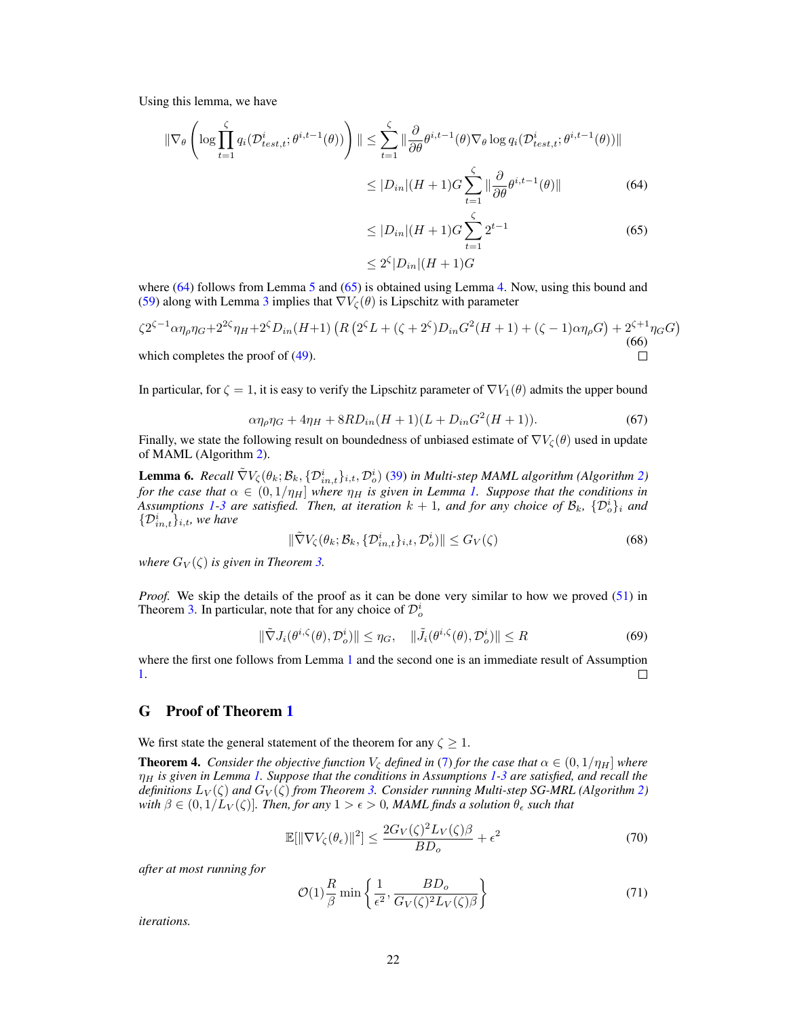Using this lemma, we have

$$
\|\nabla_{\theta}\left(\log\prod_{t=1}^{\zeta} q_i(\mathcal{D}_{test,t}^i; \theta^{i,t-1}(\theta))\right)\| \leq \sum_{t=1}^{\zeta} \|\frac{\partial}{\partial \theta}\theta^{i,t-1}(\theta)\nabla_{\theta}\log q_i(\mathcal{D}_{test,t}^i; \theta^{i,t-1}(\theta))\|
$$
  

$$
\leq |D_{in}|(H+1)G\sum_{t=1}^{\zeta} \|\frac{\partial}{\partial \theta}\theta^{i,t-1}(\theta)\|
$$
 (64)

<span id="page-21-2"></span><span id="page-21-1"></span>
$$
\leq |D_{in}|(H+1)G \sum_{t=1}^{s} 2^{t-1}
$$
\n
$$
\leq 2^{\zeta}|D_{in}|(H+1)G
$$
\n(65)

where  $(64)$  follows from Lemma [5](#page-20-2) and  $(65)$  is obtained using Lemma [4.](#page-19-0) Now, using this bound and [\(59\)](#page-20-3) along with Lemma [3](#page-13-5) implies that  $\nabla V_{\mathcal{C}}(\theta)$  is Lipschitz with parameter

$$
\zeta 2^{\zeta - 1} \alpha \eta_{\rho} \eta_{G} + 2^{2\zeta} \eta_{H} + 2^{\zeta} D_{in}(H+1) \left( R \left( 2^{\zeta} L + (\zeta + 2^{\zeta}) D_{in} G^{2}(H+1) + (\zeta - 1) \alpha \eta_{\rho} G \right) + 2^{\zeta + 1} \eta_{G} G \right)
$$
\nwhich completes the proof of (49).

\n

In particular, for  $\zeta = 1$ , it is easy to verify the Lipschitz parameter of  $\nabla V_1(\theta)$  admits the upper bound

$$
\alpha \eta_{\rho} \eta_G + 4 \eta_H + 8RD_{in}(H+1)(L + D_{in}G^2(H+1)).
$$
\n(67)

Finally, we state the following result on boundedness of unbiased estimate of  $\nabla V_{\zeta}(\theta)$  used in update of MAML (Algorithm [2\)](#page-16-2).

<span id="page-21-3"></span>**Lemma 6.** Recall  $\tilde{\nabla}V_{\zeta}(\theta_k;\mathcal{B}_k,\{\mathcal{D}_{in,t}^i\}_{i,t},\mathcal{D}_o^i)$  [\(39\)](#page-16-1) in Multi-step MAML algorithm (Algorithm [2\)](#page-16-2) *for the case that*  $\alpha \in (0, 1/\eta_H]$  *where*  $\eta_H$  *is given in Lemma [1.](#page-6-3) Suppose that the conditions in* Assumptions [1-](#page-6-2)[3](#page-6-1) are satisfied. Then, at iteration  $k + 1$ , and for any choice of  $\mathcal{B}_k$ ,  $\{\mathcal{D}_o^i\}_i$  and  $\{\mathcal{D}_{in,t}^i\}_{i,t}$ , we have

$$
\|\tilde{\nabla}V_{\zeta}(\theta_k; \mathcal{B}_k, \{\mathcal{D}_{in,t}^i\}_{i,t}, \mathcal{D}_o^i)\| \le G_V(\zeta)
$$
\n(68)

*where*  $G_V(\zeta)$  *is given in Theorem [3.](#page-18-1)* 

*Proof.* We skip the details of the proof as it can be done very similar to how we proved [\(51\)](#page-18-2) in Theorem [3.](#page-18-1) In particular, note that for any choice of  $\mathcal{D}_o^i$ 

$$
\|\tilde{\nabla} J_i(\theta^{i,\zeta}(\theta), \mathcal{D}_o^i)\| \le \eta_G, \quad \|\tilde{J}_i(\theta^{i,\zeta}(\theta), \mathcal{D}_o^i)\| \le R \tag{69}
$$

where the first one follows from Lemma [1](#page-6-3) and the second one is an immediate result of Assumption [1.](#page-6-2)  $\Box$ 

# <span id="page-21-0"></span>G Proof of Theorem [1](#page-7-1)

We first state the general statement of the theorem for any  $\zeta \geq 1$ .

**Theorem 4.** *Consider the objective function*  $V_c$  *defined in* [\(7\)](#page-3-2) *for the case that*  $\alpha \in (0, 1/\eta_H]$  *where* η<sup>H</sup> *is given in Lemma [1.](#page-6-3) Suppose that the conditions in Assumptions [1](#page-6-2)[-3](#page-6-1) are satisfied, and recall the definitions*  $L_V(\zeta)$  *and*  $G_V(\zeta)$  *from Theorem [3.](#page-18-1) Consider running Multi-step SG-MRL (Algorithm [2\)](#page-16-2) with*  $\beta \in (0, 1/L_V(\zeta))$ *. Then, for any*  $1 > \epsilon > 0$ *, MAML finds a solution*  $\theta_{\epsilon}$  *such that* 

$$
\mathbb{E}[\|\nabla V_{\zeta}(\theta_{\epsilon})\|^2] \le \frac{2G_V(\zeta)^2 L_V(\zeta)\beta}{BD_o} + \epsilon^2
$$
\n(70)

*after at most running for*

$$
\mathcal{O}(1)\frac{R}{\beta}\min\left\{\frac{1}{\epsilon^2},\frac{BD_o}{G_V(\zeta)^2L_V(\zeta)\beta}\right\}
$$
\n(71)

*iterations.*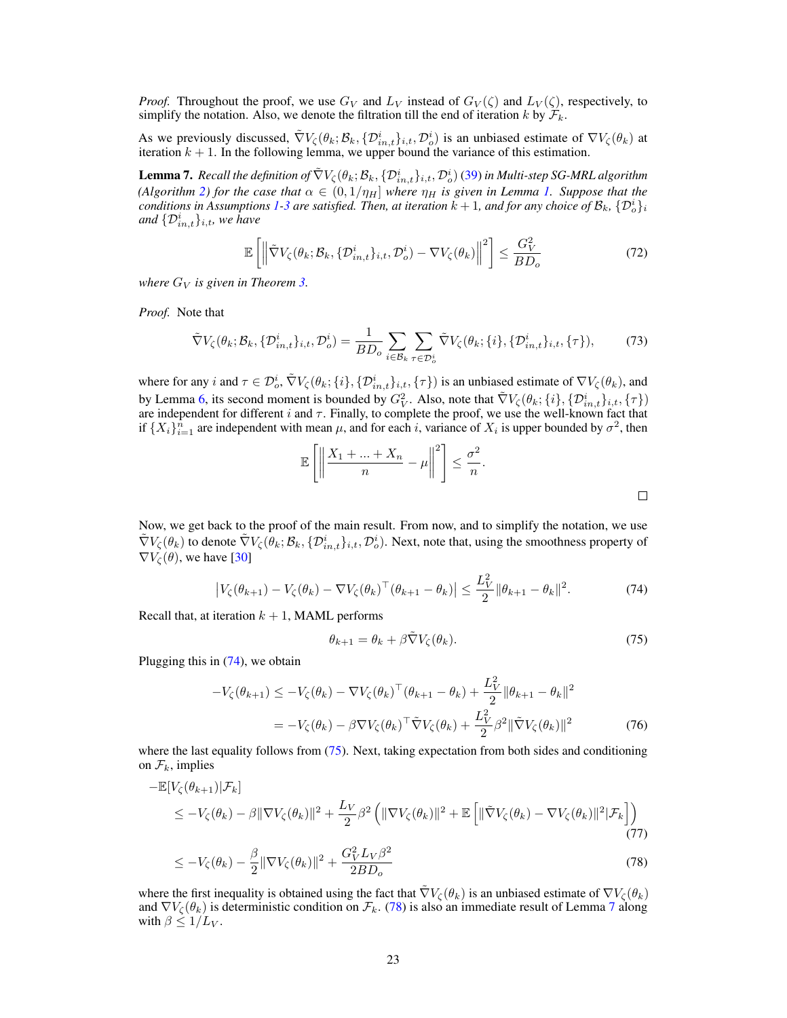*Proof.* Throughout the proof, we use  $G_V$  and  $L_V$  instead of  $G_V(\zeta)$  and  $L_V(\zeta)$ , respectively, to simplify the notation. Also, we denote the filtration till the end of iteration k by  $\mathcal{F}_k$ .

As we previously discussed,  $\tilde{\nabla}V_{\zeta}(\theta_k;\mathcal{B}_k,\{\mathcal{D}_{in,t}^i\}_{i,t},\mathcal{D}_o^i)$  is an unbiased estimate of  $\nabla V_{\zeta}(\theta_k)$  at iteration  $k + 1$ . In the following lemma, we upper bound the variance of this estimation.

<span id="page-22-3"></span> ${\bf L}$ emma 7. *Recall the definition of*  $\tilde\nabla V_\zeta(\theta_k;\mathcal{B}_k,\{\mathcal{D}_{in,t}^i\}_{i,t},\mathcal{D}_o^i)$  *[\(39\)](#page-16-1) in Multi-step SG-MRL algorithm (Algorithm [2\)](#page-16-2) for the case that*  $\alpha \in (0, 1/\eta_H]$  *where*  $\eta_H$  *is given in Lemma [1.](#page-6-3) Suppose that the conditions in Assumptions [1-](#page-6-2)[3](#page-6-1) are satisfied. Then, at iteration*  $k + 1$ *, and for any choice of*  $B_k$ *,*  $\{\mathcal{D}_o^i\}_i$ and  $\{\mathcal{D}_{in,t}^i\}_{i,t}$ , we have

$$
\mathbb{E}\left[\left\|\tilde{\nabla}V_{\zeta}(\theta_{k};\mathcal{B}_{k},\{\mathcal{D}_{in,t}^{i}\}_{i,t},\mathcal{D}_{o}^{i})-\nabla V_{\zeta}(\theta_{k})\right\|^{2}\right] \leq \frac{G_{V}^{2}}{BD_{o}}
$$
\n(72)

*where*  $G_V$  *is given in Theorem [3.](#page-18-1)* 

*Proof.* Note that

$$
\tilde{\nabla}V_{\zeta}(\theta_k; \mathcal{B}_k, \{\mathcal{D}_{in,t}^i\}_{i,t}, \mathcal{D}_o^i) = \frac{1}{BD_o} \sum_{i \in \mathcal{B}_k} \sum_{\tau \in \mathcal{D}_o^i} \tilde{\nabla}V_{\zeta}(\theta_k; \{i\}, \{\mathcal{D}_{in,t}^i\}_{i,t}, \{\tau\}),\tag{73}
$$

where for any i and  $\tau \in \mathcal{D}_o^i$ ,  $\tilde{\nabla} V_{\zeta}(\theta_k; \{i\}, \{\mathcal{D}_{in,t}^i\}_{i,t}, \{\tau\})$  is an unbiased estimate of  $\nabla V_{\zeta}(\theta_k)$ , and by Lemma [6,](#page-21-3) its second moment is bounded by  $G_V^2$ . Also, note that  $\tilde{\nabla}V_{\zeta}(\theta_k; \{i\}, \{\mathcal{D}_{in,t}^i\}_{i,t}, \{\tau\})$ are independent for different  $i$  and  $\tau$ . Finally, to complete the proof, we use the well-known fact that if  $\{X_i\}_{i=1}^n$  are independent with mean  $\mu$ , and for each i, variance of  $X_i$  is upper bounded by  $\sigma^2$ , then

$$
\mathbb{E}\left[\left\|\frac{X_1 + \dots + X_n}{n} - \mu\right\|^2\right] \le \frac{\sigma^2}{n}.
$$

Now, we get back to the proof of the main result. From now, and to simplify the notation, we use  $\tilde{\nabla}V_{\zeta}(\theta_k)$  to denote  $\tilde{\nabla}V_{\zeta}(\theta_k;\mathcal{B}_k,\{\mathcal{D}_{in,t}^i\}_{i,t},\mathcal{D}_o^i)$ . Next, note that, using the smoothness property of  $\nabla V_{\zeta}(\theta)$ , we have [\[30\]](#page-11-1)

<span id="page-22-0"></span>
$$
\left|V_{\zeta}(\theta_{k+1}) - V_{\zeta}(\theta_k) - \nabla V_{\zeta}(\theta_k)^{\top}(\theta_{k+1} - \theta_k)\right| \le \frac{L_V^2}{2} \|\theta_{k+1} - \theta_k\|^2. \tag{74}
$$

Recall that, at iteration  $k + 1$ , MAML performs

<span id="page-22-2"></span><span id="page-22-1"></span>
$$
\theta_{k+1} = \theta_k + \beta \tilde{\nabla} V_{\zeta}(\theta_k). \tag{75}
$$

Plugging this in [\(74\)](#page-22-0), we obtain

$$
-V_{\zeta}(\theta_{k+1}) \leq -V_{\zeta}(\theta_k) - \nabla V_{\zeta}(\theta_k)^{\top}(\theta_{k+1} - \theta_k) + \frac{L_V^2}{2} \|\theta_{k+1} - \theta_k\|^2
$$
  
= 
$$
-V_{\zeta}(\theta_k) - \beta \nabla V_{\zeta}(\theta_k)^{\top} \tilde{\nabla} V_{\zeta}(\theta_k) + \frac{L_V^2}{2} \beta^2 \|\tilde{\nabla} V_{\zeta}(\theta_k)\|^2
$$
(76)

where the last equality follows from [\(75\)](#page-22-1). Next, taking expectation from both sides and conditioning on  $\mathcal{F}_k$ , implies

$$
-\mathbb{E}[V_{\zeta}(\theta_{k+1})|\mathcal{F}_{k}]
$$
  
\n
$$
\leq -V_{\zeta}(\theta_{k}) - \beta \|\nabla V_{\zeta}(\theta_{k})\|^{2} + \frac{L_{V}}{2}\beta^{2} \left( \|\nabla V_{\zeta}(\theta_{k})\|^{2} + \mathbb{E}\left[ \|\tilde{\nabla}V_{\zeta}(\theta_{k}) - \nabla V_{\zeta}(\theta_{k})\|^{2} |\mathcal{F}_{k} \right] \right)
$$
\n(77)

$$
\leq -V_{\zeta}(\theta_k) - \frac{\beta}{2} \|\nabla V_{\zeta}(\theta_k)\|^2 + \frac{G_V^2 L_V \beta^2}{2BD_o} \tag{78}
$$

where the first inequality is obtained using the fact that  $\tilde{\nabla}V_{\zeta}(\theta_k)$  is an unbiased estimate of  $\nabla V_{\zeta}(\theta_k)$ and  $\nabla V_{\zeta}(\theta_k)$  is deterministic condition on  $\mathcal{F}_k$ . [\(78\)](#page-22-2) is also an immediate result of Lemma [7](#page-22-3) along with  $\beta \leq 1/L_V$ .